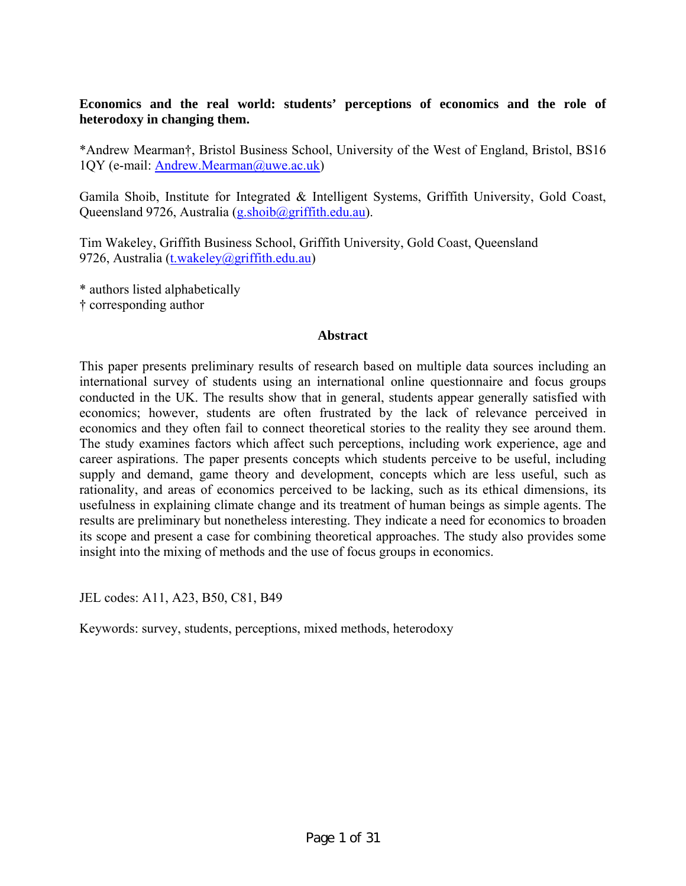# **Economics and the real world: students' perceptions of economics and the role of heterodoxy in changing them.**

\*Andrew Mearman†, Bristol Business School, University of the West of England, Bristol, BS16 1QY (e-mail: [Andrew.Mearman@uwe.ac.uk\)](mailto:Andrew.Mearman@uwe.ac.uk)

Gamila Shoib, Institute for Integrated & Intelligent Systems, Griffith University, Gold Coast, Queensland 9726, Australia ([g.shoib@griffith.edu.au](mailto:g.shoib@griffith.edu.au)).

Tim Wakeley, Griffith Business School, Griffith University, Gold Coast, Queensland 9726, Australia ([t.wakeley@griffith.edu.au\)](mailto:t.wakeley@griffith.edu.au)

\* authors listed alphabetically

† corresponding author

#### **Abstract**

This paper presents preliminary results of research based on multiple data sources including an international survey of students using an international online questionnaire and focus groups conducted in the UK. The results show that in general, students appear generally satisfied with economics; however, students are often frustrated by the lack of relevance perceived in economics and they often fail to connect theoretical stories to the reality they see around them. The study examines factors which affect such perceptions, including work experience, age and career aspirations. The paper presents concepts which students perceive to be useful, including supply and demand, game theory and development, concepts which are less useful, such as rationality, and areas of economics perceived to be lacking, such as its ethical dimensions, its usefulness in explaining climate change and its treatment of human beings as simple agents. The results are preliminary but nonetheless interesting. They indicate a need for economics to broaden its scope and present a case for combining theoretical approaches. The study also provides some insight into the mixing of methods and the use of focus groups in economics.

JEL codes: A11, A23, B50, C81, B49

Keywords: survey, students, perceptions, mixed methods, heterodoxy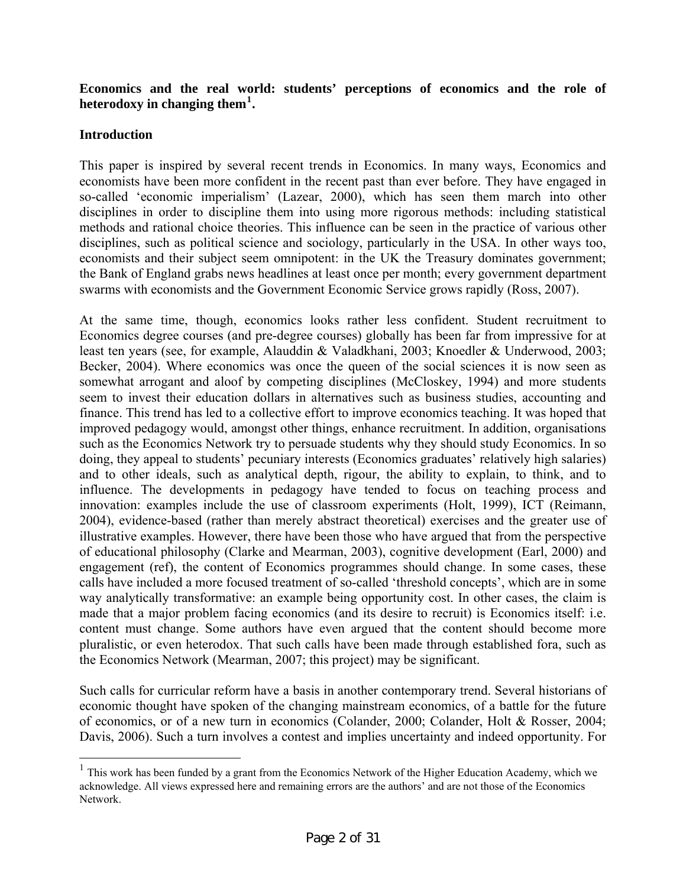# **Economics and the real world: students' perceptions of economics and the role of heterodoxy in changing them[1](#page-1-0) .**

## **Introduction**

 $\overline{a}$ 

This paper is inspired by several recent trends in Economics. In many ways, Economics and economists have been more confident in the recent past than ever before. They have engaged in so-called 'economic imperialism' (Lazear, 2000), which has seen them march into other disciplines in order to discipline them into using more rigorous methods: including statistical methods and rational choice theories. This influence can be seen in the practice of various other disciplines, such as political science and sociology, particularly in the USA. In other ways too, economists and their subject seem omnipotent: in the UK the Treasury dominates government; the Bank of England grabs news headlines at least once per month; every government department swarms with economists and the Government Economic Service grows rapidly (Ross, 2007).

At the same time, though, economics looks rather less confident. Student recruitment to Economics degree courses (and pre-degree courses) globally has been far from impressive for at least ten years (see, for example, Alauddin & Valadkhani, 2003; Knoedler & Underwood, 2003; Becker, 2004). Where economics was once the queen of the social sciences it is now seen as somewhat arrogant and aloof by competing disciplines (McCloskey, 1994) and more students seem to invest their education dollars in alternatives such as business studies, accounting and finance. This trend has led to a collective effort to improve economics teaching. It was hoped that improved pedagogy would, amongst other things, enhance recruitment. In addition, organisations such as the Economics Network try to persuade students why they should study Economics. In so doing, they appeal to students' pecuniary interests (Economics graduates' relatively high salaries) and to other ideals, such as analytical depth, rigour, the ability to explain, to think, and to influence. The developments in pedagogy have tended to focus on teaching process and innovation: examples include the use of classroom experiments (Holt, 1999), ICT (Reimann, 2004), evidence-based (rather than merely abstract theoretical) exercises and the greater use of illustrative examples. However, there have been those who have argued that from the perspective of educational philosophy (Clarke and Mearman, 2003), cognitive development (Earl, 2000) and engagement (ref), the content of Economics programmes should change. In some cases, these calls have included a more focused treatment of so-called 'threshold concepts', which are in some way analytically transformative: an example being opportunity cost. In other cases, the claim is made that a major problem facing economics (and its desire to recruit) is Economics itself: i.e. content must change. Some authors have even argued that the content should become more pluralistic, or even heterodox. That such calls have been made through established fora, such as the Economics Network (Mearman, 2007; this project) may be significant.

Such calls for curricular reform have a basis in another contemporary trend. Several historians of economic thought have spoken of the changing mainstream economics, of a battle for the future of economics, or of a new turn in economics (Colander, 2000; Colander, Holt & Rosser, 2004; Davis, 2006). Such a turn involves a contest and implies uncertainty and indeed opportunity. For

<span id="page-1-0"></span> $1$  This work has been funded by a grant from the Economics Network of the Higher Education Academy, which we acknowledge. All views expressed here and remaining errors are the authors' and are not those of the Economics Network.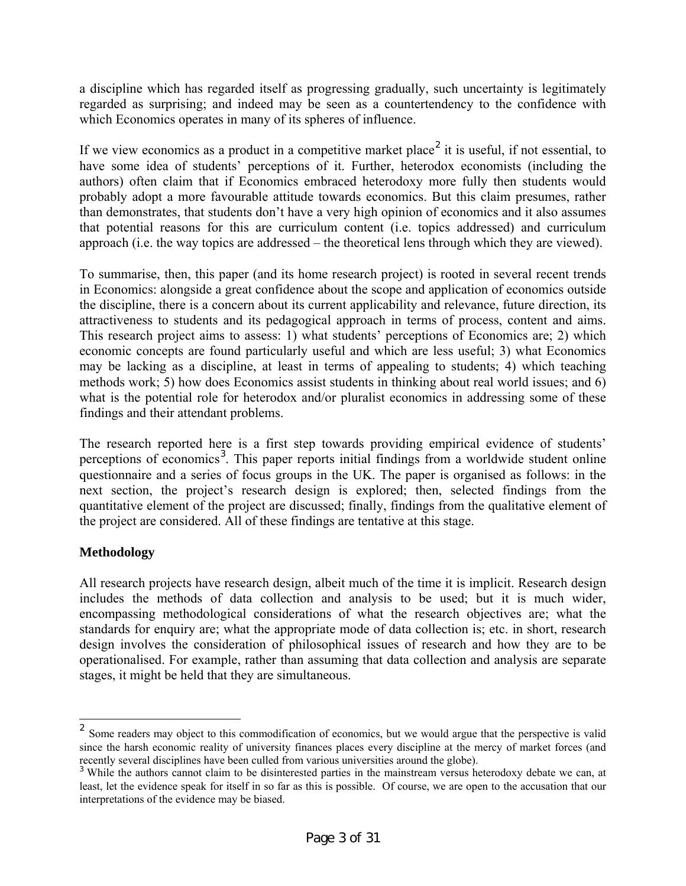a discipline which has regarded itself as progressing gradually, such uncertainty is legitimately regarded as surprising; and indeed may be seen as a countertendency to the confidence with which Economics operates in many of its spheres of influence.

If we view economics as a product in a competitive market place<sup>[2](#page-2-0)</sup> it is useful, if not essential, to have some idea of students' perceptions of it. Further, heterodox economists (including the authors) often claim that if Economics embraced heterodoxy more fully then students would probably adopt a more favourable attitude towards economics. But this claim presumes, rather than demonstrates, that students don't have a very high opinion of economics and it also assumes that potential reasons for this are curriculum content (i.e. topics addressed) and curriculum approach (i.e. the way topics are addressed – the theoretical lens through which they are viewed).

To summarise, then, this paper (and its home research project) is rooted in several recent trends in Economics: alongside a great confidence about the scope and application of economics outside the discipline, there is a concern about its current applicability and relevance, future direction, its attractiveness to students and its pedagogical approach in terms of process, content and aims. This research project aims to assess: 1) what students' perceptions of Economics are; 2) which economic concepts are found particularly useful and which are less useful; 3) what Economics may be lacking as a discipline, at least in terms of appealing to students; 4) which teaching methods work; 5) how does Economics assist students in thinking about real world issues; and 6) what is the potential role for heterodox and/or pluralist economics in addressing some of these findings and their attendant problems.

The research reported here is a first step towards providing empirical evidence of students' perceptions of economics<sup>[3](#page-2-1)</sup>. This paper reports initial findings from a worldwide student online questionnaire and a series of focus groups in the UK. The paper is organised as follows: in the next section, the project's research design is explored; then, selected findings from the quantitative element of the project are discussed; finally, findings from the qualitative element of the project are considered. All of these findings are tentative at this stage.

# **Methodology**

 $\overline{a}$ 

All research projects have research design, albeit much of the time it is implicit. Research design includes the methods of data collection and analysis to be used; but it is much wider, encompassing methodological considerations of what the research objectives are; what the standards for enquiry are; what the appropriate mode of data collection is; etc. in short, research design involves the consideration of philosophical issues of research and how they are to be operationalised. For example, rather than assuming that data collection and analysis are separate stages, it might be held that they are simultaneous.

<span id="page-2-0"></span><sup>&</sup>lt;sup>2</sup> Some readers may object to this commodification of economics, but we would argue that the perspective is valid since the harsh economic reality of university finances places every discipline at the mercy of market forces (and recently several disciplines have been culled from various universities around the globe).

<span id="page-2-1"></span><sup>&</sup>lt;sup>3</sup> While the authors cannot claim to be disinterested parties in the mainstream versus heterodoxy debate we can, at least, let the evidence speak for itself in so far as this is possible. Of course, we are open to the accusation that our interpretations of the evidence may be biased.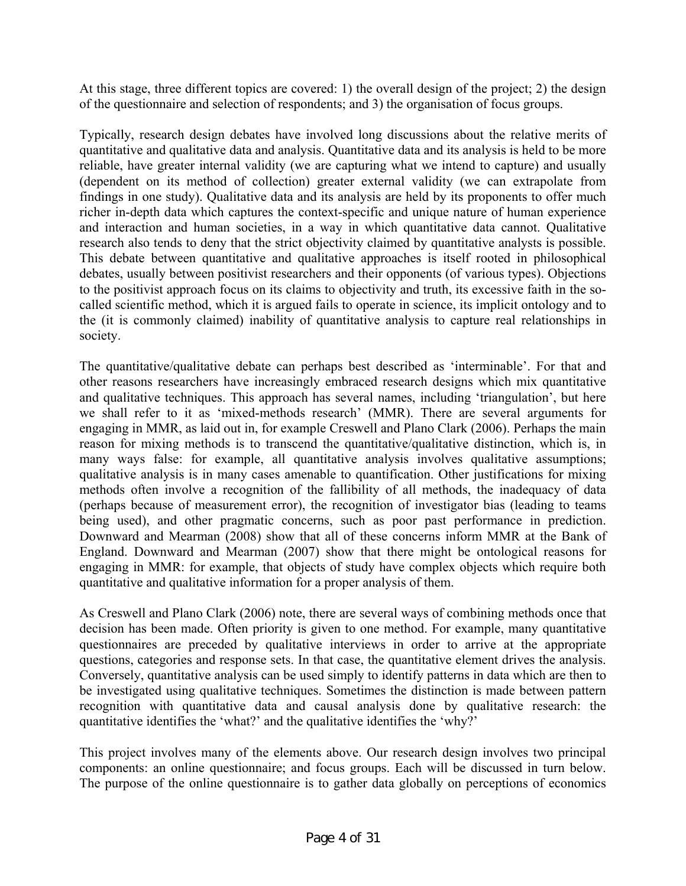At this stage, three different topics are covered: 1) the overall design of the project; 2) the design of the questionnaire and selection of respondents; and 3) the organisation of focus groups.

Typically, research design debates have involved long discussions about the relative merits of quantitative and qualitative data and analysis. Quantitative data and its analysis is held to be more reliable, have greater internal validity (we are capturing what we intend to capture) and usually (dependent on its method of collection) greater external validity (we can extrapolate from findings in one study). Qualitative data and its analysis are held by its proponents to offer much richer in-depth data which captures the context-specific and unique nature of human experience and interaction and human societies, in a way in which quantitative data cannot. Qualitative research also tends to deny that the strict objectivity claimed by quantitative analysts is possible. This debate between quantitative and qualitative approaches is itself rooted in philosophical debates, usually between positivist researchers and their opponents (of various types). Objections to the positivist approach focus on its claims to objectivity and truth, its excessive faith in the socalled scientific method, which it is argued fails to operate in science, its implicit ontology and to the (it is commonly claimed) inability of quantitative analysis to capture real relationships in society.

The quantitative/qualitative debate can perhaps best described as 'interminable'. For that and other reasons researchers have increasingly embraced research designs which mix quantitative and qualitative techniques. This approach has several names, including 'triangulation', but here we shall refer to it as 'mixed-methods research' (MMR). There are several arguments for engaging in MMR, as laid out in, for example Creswell and Plano Clark (2006). Perhaps the main reason for mixing methods is to transcend the quantitative/qualitative distinction, which is, in many ways false: for example, all quantitative analysis involves qualitative assumptions; qualitative analysis is in many cases amenable to quantification. Other justifications for mixing methods often involve a recognition of the fallibility of all methods, the inadequacy of data (perhaps because of measurement error), the recognition of investigator bias (leading to teams being used), and other pragmatic concerns, such as poor past performance in prediction. Downward and Mearman (2008) show that all of these concerns inform MMR at the Bank of England. Downward and Mearman (2007) show that there might be ontological reasons for engaging in MMR: for example, that objects of study have complex objects which require both quantitative and qualitative information for a proper analysis of them.

As Creswell and Plano Clark (2006) note, there are several ways of combining methods once that decision has been made. Often priority is given to one method. For example, many quantitative questionnaires are preceded by qualitative interviews in order to arrive at the appropriate questions, categories and response sets. In that case, the quantitative element drives the analysis. Conversely, quantitative analysis can be used simply to identify patterns in data which are then to be investigated using qualitative techniques. Sometimes the distinction is made between pattern recognition with quantitative data and causal analysis done by qualitative research: the quantitative identifies the 'what?' and the qualitative identifies the 'why?'

This project involves many of the elements above. Our research design involves two principal components: an online questionnaire; and focus groups. Each will be discussed in turn below. The purpose of the online questionnaire is to gather data globally on perceptions of economics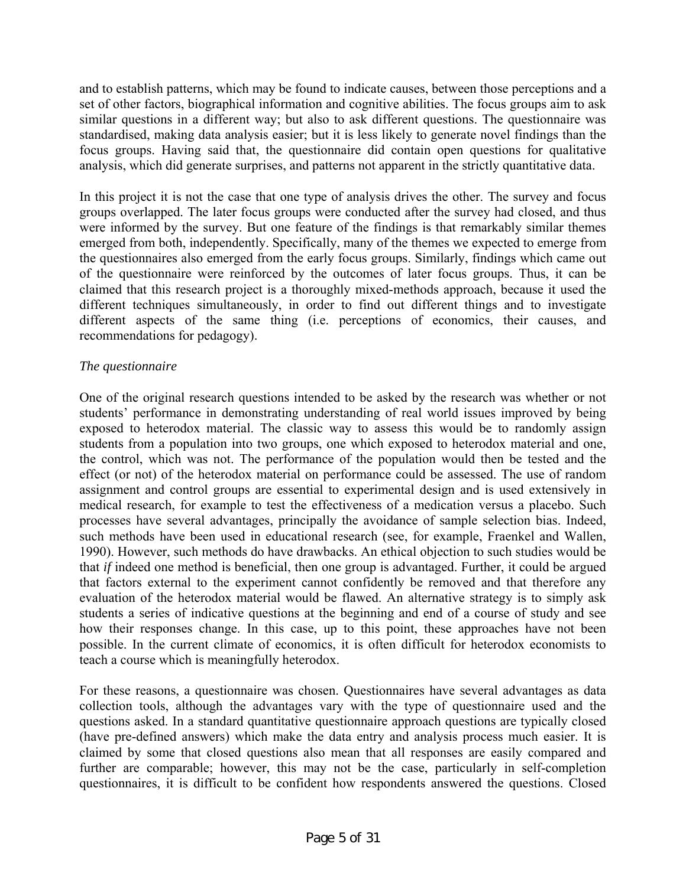and to establish patterns, which may be found to indicate causes, between those perceptions and a set of other factors, biographical information and cognitive abilities. The focus groups aim to ask similar questions in a different way; but also to ask different questions. The questionnaire was standardised, making data analysis easier; but it is less likely to generate novel findings than the focus groups. Having said that, the questionnaire did contain open questions for qualitative analysis, which did generate surprises, and patterns not apparent in the strictly quantitative data.

In this project it is not the case that one type of analysis drives the other. The survey and focus groups overlapped. The later focus groups were conducted after the survey had closed, and thus were informed by the survey. But one feature of the findings is that remarkably similar themes emerged from both, independently. Specifically, many of the themes we expected to emerge from the questionnaires also emerged from the early focus groups. Similarly, findings which came out of the questionnaire were reinforced by the outcomes of later focus groups. Thus, it can be claimed that this research project is a thoroughly mixed-methods approach, because it used the different techniques simultaneously, in order to find out different things and to investigate different aspects of the same thing (i.e. perceptions of economics, their causes, and recommendations for pedagogy).

# *The questionnaire*

One of the original research questions intended to be asked by the research was whether or not students' performance in demonstrating understanding of real world issues improved by being exposed to heterodox material. The classic way to assess this would be to randomly assign students from a population into two groups, one which exposed to heterodox material and one, the control, which was not. The performance of the population would then be tested and the effect (or not) of the heterodox material on performance could be assessed. The use of random assignment and control groups are essential to experimental design and is used extensively in medical research, for example to test the effectiveness of a medication versus a placebo. Such processes have several advantages, principally the avoidance of sample selection bias. Indeed, such methods have been used in educational research (see, for example, Fraenkel and Wallen, 1990). However, such methods do have drawbacks. An ethical objection to such studies would be that *if* indeed one method is beneficial, then one group is advantaged. Further, it could be argued that factors external to the experiment cannot confidently be removed and that therefore any evaluation of the heterodox material would be flawed. An alternative strategy is to simply ask students a series of indicative questions at the beginning and end of a course of study and see how their responses change. In this case, up to this point, these approaches have not been possible. In the current climate of economics, it is often difficult for heterodox economists to teach a course which is meaningfully heterodox.

For these reasons, a questionnaire was chosen. Questionnaires have several advantages as data collection tools, although the advantages vary with the type of questionnaire used and the questions asked. In a standard quantitative questionnaire approach questions are typically closed (have pre-defined answers) which make the data entry and analysis process much easier. It is claimed by some that closed questions also mean that all responses are easily compared and further are comparable; however, this may not be the case, particularly in self-completion questionnaires, it is difficult to be confident how respondents answered the questions. Closed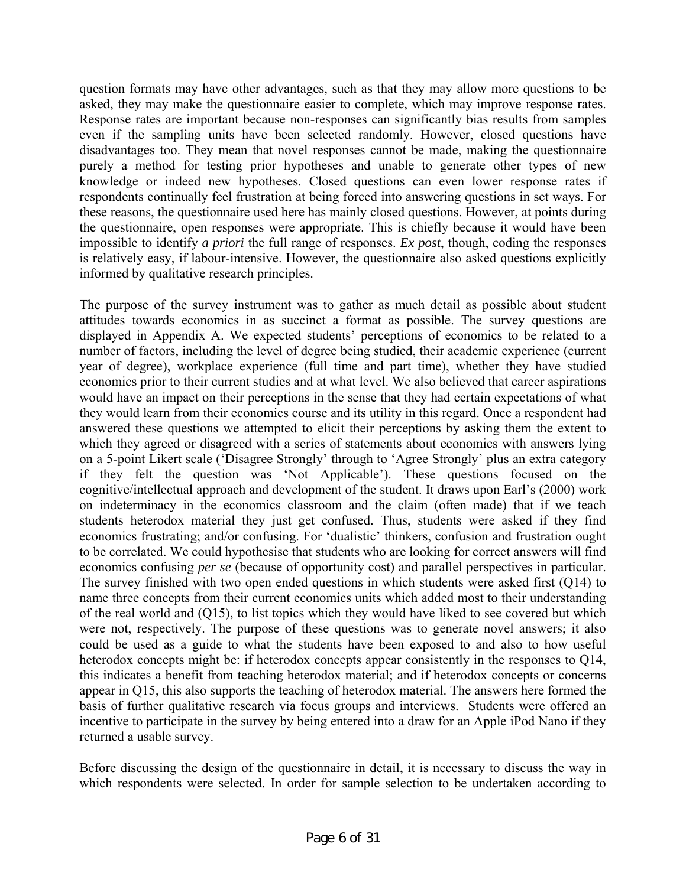question formats may have other advantages, such as that they may allow more questions to be asked, they may make the questionnaire easier to complete, which may improve response rates. Response rates are important because non-responses can significantly bias results from samples even if the sampling units have been selected randomly. However, closed questions have disadvantages too. They mean that novel responses cannot be made, making the questionnaire purely a method for testing prior hypotheses and unable to generate other types of new knowledge or indeed new hypotheses. Closed questions can even lower response rates if respondents continually feel frustration at being forced into answering questions in set ways. For these reasons, the questionnaire used here has mainly closed questions. However, at points during the questionnaire, open responses were appropriate. This is chiefly because it would have been impossible to identify *a priori* the full range of responses. *Ex post*, though, coding the responses is relatively easy, if labour-intensive. However, the questionnaire also asked questions explicitly informed by qualitative research principles.

The purpose of the survey instrument was to gather as much detail as possible about student attitudes towards economics in as succinct a format as possible. The survey questions are displayed in Appendix A. We expected students' perceptions of economics to be related to a number of factors, including the level of degree being studied, their academic experience (current year of degree), workplace experience (full time and part time), whether they have studied economics prior to their current studies and at what level. We also believed that career aspirations would have an impact on their perceptions in the sense that they had certain expectations of what they would learn from their economics course and its utility in this regard. Once a respondent had answered these questions we attempted to elicit their perceptions by asking them the extent to which they agreed or disagreed with a series of statements about economics with answers lying on a 5-point Likert scale ('Disagree Strongly' through to 'Agree Strongly' plus an extra category if they felt the question was 'Not Applicable'). These questions focused on the cognitive/intellectual approach and development of the student. It draws upon Earl's (2000) work on indeterminacy in the economics classroom and the claim (often made) that if we teach students heterodox material they just get confused. Thus, students were asked if they find economics frustrating; and/or confusing. For 'dualistic' thinkers, confusion and frustration ought to be correlated. We could hypothesise that students who are looking for correct answers will find economics confusing *per se* (because of opportunity cost) and parallel perspectives in particular. The survey finished with two open ended questions in which students were asked first (Q14) to name three concepts from their current economics units which added most to their understanding of the real world and (Q15), to list topics which they would have liked to see covered but which were not, respectively. The purpose of these questions was to generate novel answers; it also could be used as a guide to what the students have been exposed to and also to how useful heterodox concepts might be: if heterodox concepts appear consistently in the responses to Q14, this indicates a benefit from teaching heterodox material; and if heterodox concepts or concerns appear in Q15, this also supports the teaching of heterodox material. The answers here formed the basis of further qualitative research via focus groups and interviews. Students were offered an incentive to participate in the survey by being entered into a draw for an Apple iPod Nano if they returned a usable survey.

Before discussing the design of the questionnaire in detail, it is necessary to discuss the way in which respondents were selected. In order for sample selection to be undertaken according to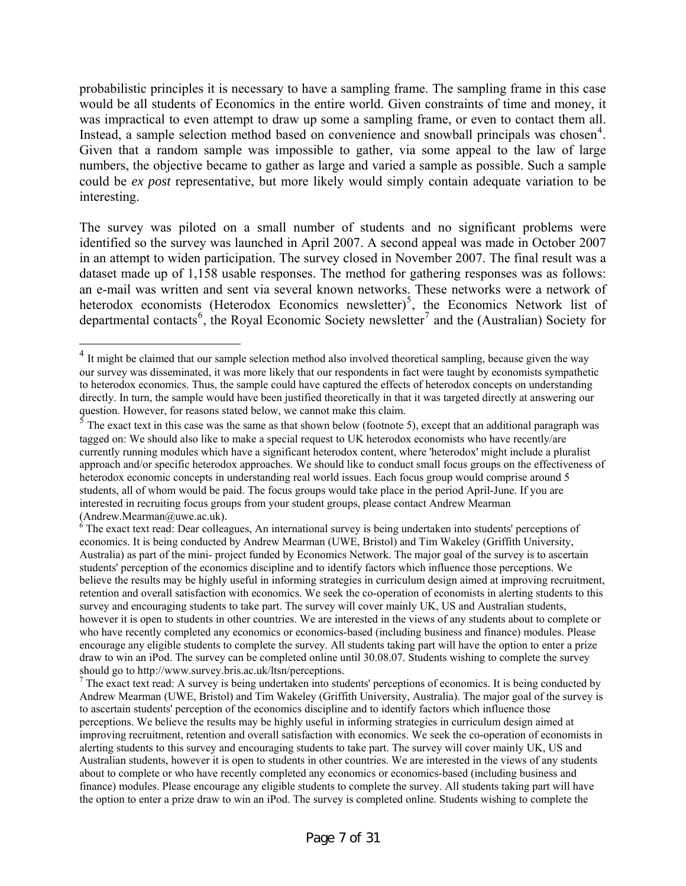probabilistic principles it is necessary to have a sampling frame. The sampling frame in this case would be all students of Economics in the entire world. Given constraints of time and money, it was impractical to even attempt to draw up some a sampling frame, or even to contact them all. Instead, a sample selection method based on convenience and snowball principals was chosen<sup>[4](#page-6-0)</sup>. Given that a random sample was impossible to gather, via some appeal to the law of large numbers, the objective became to gather as large and varied a sample as possible. Such a sample could be *ex post* representative, but more likely would simply contain adequate variation to be interesting.

The survey was piloted on a small number of students and no significant problems were identified so the survey was launched in April 2007. A second appeal was made in October 2007 in an attempt to widen participation. The survey closed in November 2007. The final result was a dataset made up of 1,158 usable responses. The method for gathering responses was as follows: an e-mail was written and sent via several known networks. These networks were a network of heterodox economists (Heterodox Economics newsletter)<sup>[5](#page-6-1)</sup>, the Economics Network list of departmental contacts<sup>[6](#page-6-2)</sup>, the Royal Economic Society newsletter<sup>[7](#page-6-3)</sup> and the (Australian) Society for

 $\overline{a}$ 

<span id="page-6-0"></span> $4$  It might be claimed that our sample selection method also involved theoretical sampling, because given the way our survey was disseminated, it was more likely that our respondents in fact were taught by economists sympathetic to heterodox economics. Thus, the sample could have captured the effects of heterodox concepts on understanding directly. In turn, the sample would have been justified theoretically in that it was targeted directly at answering our question. However, for reasons stated below, we cannot make this claim.<br><sup>5</sup> The exact text in this case was the same as that shown below (footnote 5), except that an additional paragraph was

<span id="page-6-1"></span>tagged on: We should also like to make a special request to UK heterodox economists who have recently/are currently running modules which have a significant heterodox content, where 'heterodox' might include a pluralist approach and/or specific heterodox approaches. We should like to conduct small focus groups on the effectiveness of heterodox economic concepts in understanding real world issues. Each focus group would comprise around 5 students, all of whom would be paid. The focus groups would take place in the period April-June. If you are interested in recruiting focus groups from your student groups, please contact Andrew Mearman  $(Andrew.Mearman@uwe.ac.uk).$  $(Andrew.Mearman@uwe.ac.uk).$ 

<span id="page-6-2"></span> $\delta$  The exact text read: Dear colleagues, An international survey is being undertaken into students' perceptions of economics. It is being conducted by Andrew Mearman (UWE, Bristol) and Tim Wakeley (Griffith University, Australia) as part of the mini- project funded by Economics Network. The major goal of the survey is to ascertain students' perception of the economics discipline and to identify factors which influence those perceptions. We believe the results may be highly useful in informing strategies in curriculum design aimed at improving recruitment, retention and overall satisfaction with economics. We seek the co-operation of economists in alerting students to this survey and encouraging students to take part. The survey will cover mainly UK, US and Australian students, however it is open to students in other countries. We are interested in the views of any students about to complete or who have recently completed any economics or economics-based (including business and finance) modules. Please encourage any eligible students to complete the survey. All students taking part will have the option to enter a prize draw to win an iPod. The survey can be completed online until 30.08.07. Students wishing to complete the survey should go to <http://www.survey.bris.ac.uk/ltsn/perceptions>.

<span id="page-6-3"></span> $^7$  The exact text read: A survey is being undertaken into students' perceptions of economics. It is being conducted by Andrew Mearman (UWE, Bristol) and Tim Wakeley (Griffith University, Australia). The major goal of the survey is to ascertain students' perception of the economics discipline and to identify factors which influence those perceptions. We believe the results may be highly useful in informing strategies in curriculum design aimed at improving recruitment, retention and overall satisfaction with economics. We seek the co-operation of economists in alerting students to this survey and encouraging students to take part. The survey will cover mainly UK, US and Australian students, however it is open to students in other countries. We are interested in the views of any students about to complete or who have recently completed any economics or economics-based (including business and finance) modules. Please encourage any eligible students to complete the survey. All students taking part will have the option to enter a prize draw to win an iPod. The survey is completed online. Students wishing to complete the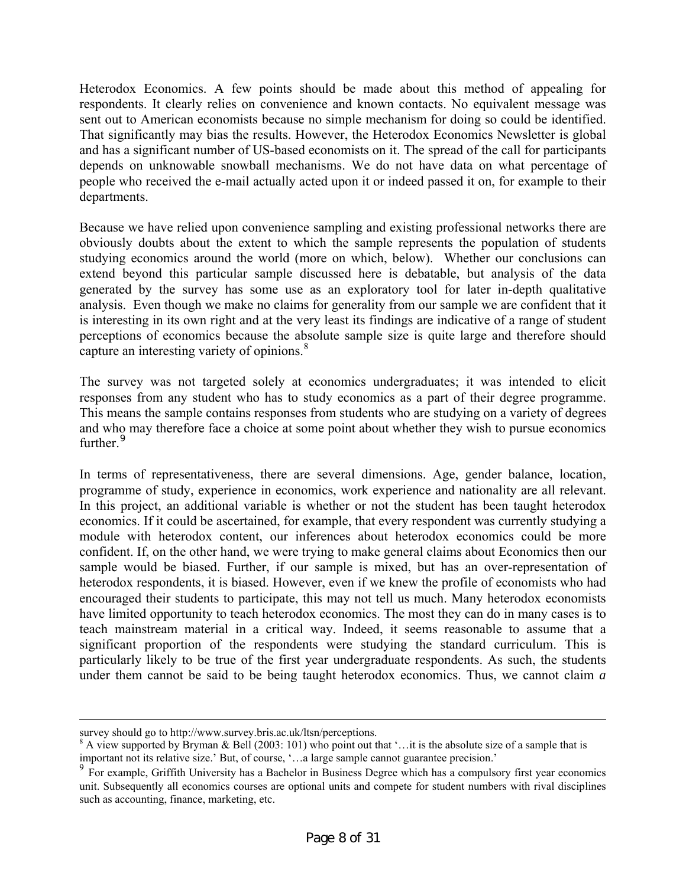Heterodox Economics. A few points should be made about this method of appealing for respondents. It clearly relies on convenience and known contacts. No equivalent message was sent out to American economists because no simple mechanism for doing so could be identified. That significantly may bias the results. However, the Heterodox Economics Newsletter is global and has a significant number of US-based economists on it. The spread of the call for participants depends on unknowable snowball mechanisms. We do not have data on what percentage of people who received the e-mail actually acted upon it or indeed passed it on, for example to their departments.

Because we have relied upon convenience sampling and existing professional networks there are obviously doubts about the extent to which the sample represents the population of students studying economics around the world (more on which, below). Whether our conclusions can extend beyond this particular sample discussed here is debatable, but analysis of the data generated by the survey has some use as an exploratory tool for later in-depth qualitative analysis. Even though we make no claims for generality from our sample we are confident that it is interesting in its own right and at the very least its findings are indicative of a range of student perceptions of economics because the absolute sample size is quite large and therefore should capture an interesting variety of opinions.<sup>[8](#page-7-0)</sup>

The survey was not targeted solely at economics undergraduates; it was intended to elicit responses from any student who has to study economics as a part of their degree programme. This means the sample contains responses from students who are studying on a variety of degrees and who may therefore face a choice at some point about whether they wish to pursue economics further.<sup>[9](#page-7-1)</sup>

In terms of representativeness, there are several dimensions. Age, gender balance, location, programme of study, experience in economics, work experience and nationality are all relevant. In this project, an additional variable is whether or not the student has been taught heterodox economics. If it could be ascertained, for example, that every respondent was currently studying a module with heterodox content, our inferences about heterodox economics could be more confident. If, on the other hand, we were trying to make general claims about Economics then our sample would be biased. Further, if our sample is mixed, but has an over-representation of heterodox respondents, it is biased. However, even if we knew the profile of economists who had encouraged their students to participate, this may not tell us much. Many heterodox economists have limited opportunity to teach heterodox economics. The most they can do in many cases is to teach mainstream material in a critical way. Indeed, it seems reasonable to assume that a significant proportion of the respondents were studying the standard curriculum. This is particularly likely to be true of the first year undergraduate respondents. As such, the students under them cannot be said to be being taught heterodox economics. Thus, we cannot claim *a* 

survey should go to<http://www.survey.bris.ac.uk/ltsn/perceptions>.

<span id="page-7-0"></span> $8$  A view supported by Bryman & Bell (2003: 101) who point out that '... it is the absolute size of a sample that is important not its relative size.' But, of course, '…a large sample cannot guarantee precision.'

<span id="page-7-1"></span> $9$  For example, Griffith University has a Bachelor in Business Degree which has a compulsory first year economics unit. Subsequently all economics courses are optional units and compete for student numbers with rival disciplines such as accounting, finance, marketing, etc.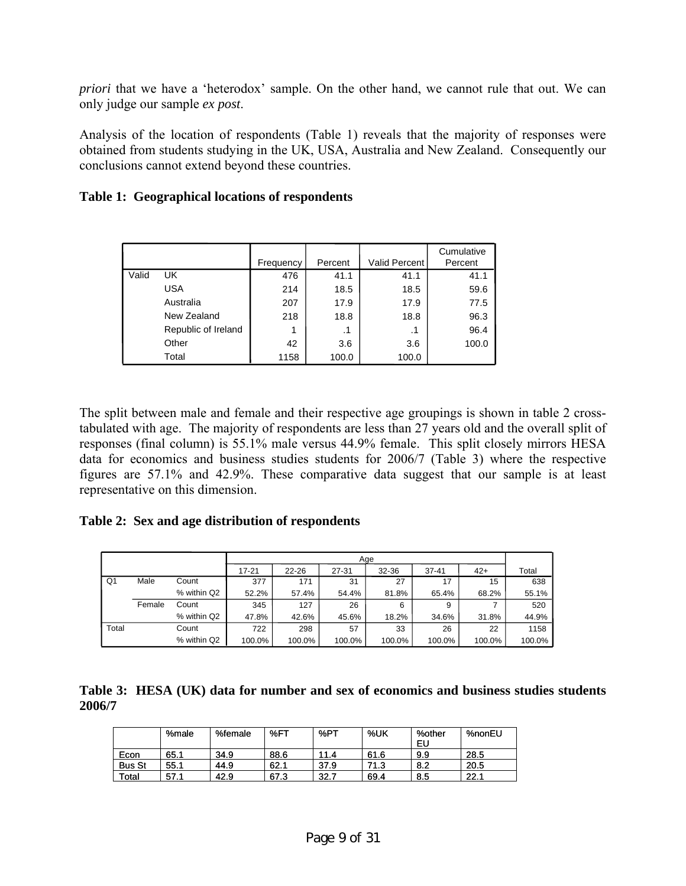*priori* that we have a 'heterodox' sample. On the other hand, we cannot rule that out. We can only judge our sample *ex post*.

Analysis of the location of respondents (Table 1) reveals that the majority of responses were obtained from students studying in the UK, USA, Australia and New Zealand. Consequently our conclusions cannot extend beyond these countries.

|       |                     | Frequency | Percent | <b>Valid Percent</b> | Cumulative<br>Percent |
|-------|---------------------|-----------|---------|----------------------|-----------------------|
| Valid | UK.                 | 476       | 41.1    | 41.1                 | 41.1                  |
|       | <b>USA</b>          | 214       | 18.5    | 18.5                 | 59.6                  |
|       | Australia           | 207       | 17.9    | 17.9                 | 77.5                  |
|       | New Zealand         | 218       | 18.8    | 18.8                 | 96.3                  |
|       | Republic of Ireland | 1         | .1      | .1                   | 96.4                  |
|       | Other               | 42        | 3.6     | 3.6                  | 100.0                 |
|       | Total               | 1158      | 100.0   | 100.0                |                       |

The split between male and female and their respective age groupings is shown in table 2 crosstabulated with age. The majority of respondents are less than 27 years old and the overall split of responses (final column) is 55.1% male versus 44.9% female. This split closely mirrors HESA data for economics and business studies students for 2006/7 (Table 3) where the respective figures are 57.1% and 42.9%. These comparative data suggest that our sample is at least representative on this dimension.

**Table 2: Sex and age distribution of respondents** 

|       |        |             |           | Age       |        |        |           |        |        |  |  |
|-------|--------|-------------|-----------|-----------|--------|--------|-----------|--------|--------|--|--|
|       |        |             | $17 - 21$ | $22 - 26$ | 27-31  | 32-36  | $37 - 41$ | $42+$  | Total  |  |  |
| Q1    | Male   | Count       | 377       | 171       | 31     | 27     | 17        | 15     | 638    |  |  |
|       |        | % within Q2 | 52.2%     | 57.4%     | 54.4%  | 81.8%  | 65.4%     | 68.2%  | 55.1%  |  |  |
|       | Female | Count       | 345       | 127       | 26     | 6      | 9         |        | 520    |  |  |
|       |        | % within Q2 | 47.8%     | 42.6%     | 45.6%  | 18.2%  | 34.6%     | 31.8%  | 44.9%  |  |  |
| Total |        | Count       | 722       | 298       | 57     | 33     | 26        | 22     | 1158   |  |  |
|       |        | % within Q2 | 100.0%    | 100.0%    | 100.0% | 100.0% | 100.0%    | 100.0% | 100.0% |  |  |

|        | Table 3: HESA (UK) data for number and sex of economics and business studies students |  |  |  |  |  |
|--------|---------------------------------------------------------------------------------------|--|--|--|--|--|
| 2006/7 |                                                                                       |  |  |  |  |  |

|               | %male | %female | %FT  | %PT  | %UK  | %other<br>EU | %nonEU |
|---------------|-------|---------|------|------|------|--------------|--------|
| Econ          | 65.1  | 34.9    | 88.6 | 11.4 | 61.6 | 9.9          | 28.5   |
| <b>Bus St</b> | 55.1  | 44.9    | 62.1 | 37.9 | 71.3 | 8.2          | 20.5   |
| Total         | 57.1  | 42.9    | 67.3 | 32.7 | 69.4 | 8.5          | 22.1   |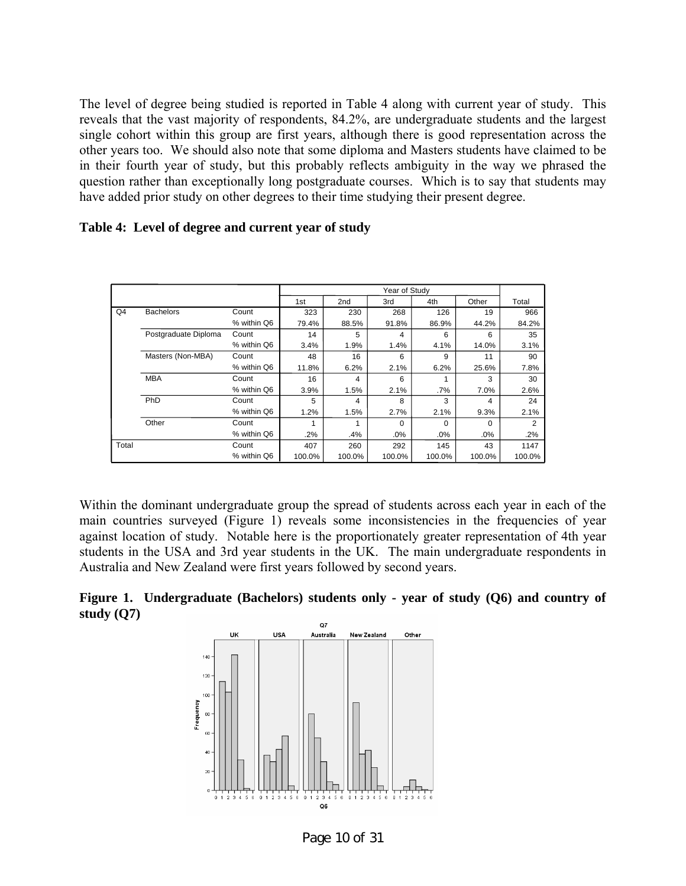The level of degree being studied is reported in Table 4 along with current year of study. This reveals that the vast majority of respondents, 84.2%, are undergraduate students and the largest single cohort within this group are first years, although there is good representation across the other years too. We should also note that some diploma and Masters students have claimed to be in their fourth year of study, but this probably reflects ambiguity in the way we phrased the question rather than exceptionally long postgraduate courses. Which is to say that students may have added prior study on other degrees to their time studying their present degree.

|       |                      |             |        |                 | Year of Study |          |          |        |
|-------|----------------------|-------------|--------|-----------------|---------------|----------|----------|--------|
|       |                      |             | 1st    | 2 <sub>nd</sub> | 3rd           | 4th      | Other    | Total  |
| Q4    | <b>Bachelors</b>     | Count       | 323    | 230             | 268           | 126      | 19       | 966    |
|       |                      | % within Q6 | 79.4%  | 88.5%           | 91.8%         | 86.9%    | 44.2%    | 84.2%  |
|       | Postgraduate Diploma | Count       | 14     | 5               | 4             | 6        | 6        | 35     |
|       |                      | % within Q6 | 3.4%   | 1.9%            | 1.4%          | 4.1%     | 14.0%    | 3.1%   |
|       | Masters (Non-MBA)    | Count       | 48     | 16              | 6             | 9        | 11       | 90     |
|       |                      | % within Q6 | 11.8%  | 6.2%            | 2.1%          | 6.2%     | 25.6%    | 7.8%   |
|       | <b>MBA</b>           | Count       | 16     | 4               | 6             | 4        | 3        | 30     |
|       |                      | % within Q6 | 3.9%   | 1.5%            | 2.1%          | $.7\%$   | 7.0%     | 2.6%   |
|       | PhD                  | Count       | 5      | 4               | 8             | 3        | 4        | 24     |
|       |                      | % within Q6 | 1.2%   | 1.5%            | 2.7%          | 2.1%     | 9.3%     | 2.1%   |
|       | Other                | Count       |        |                 | $\Omega$      | $\Omega$ | $\Omega$ | 2      |
|       |                      | % within Q6 | .2%    | .4%             | .0%           | .0%      | .0%      | .2%    |
| Total |                      | Count       | 407    | 260             | 292           | 145      | 43       | 1147   |
|       |                      | % within Q6 | 100.0% | 100.0%          | 100.0%        | 100.0%   | 100.0%   | 100.0% |

#### **Table 4: Level of degree and current year of study**

Within the dominant undergraduate group the spread of students across each year in each of the main countries surveyed (Figure 1) reveals some inconsistencies in the frequencies of year against location of study. Notable here is the proportionately greater representation of 4th year students in the USA and 3rd year students in the UK. The main undergraduate respondents in Australia and New Zealand were first years followed by second years.

#### **Figure 1. Undergraduate (Bachelors) students only - year of study (Q6) and country of study (Q7)**



Page 10 of 31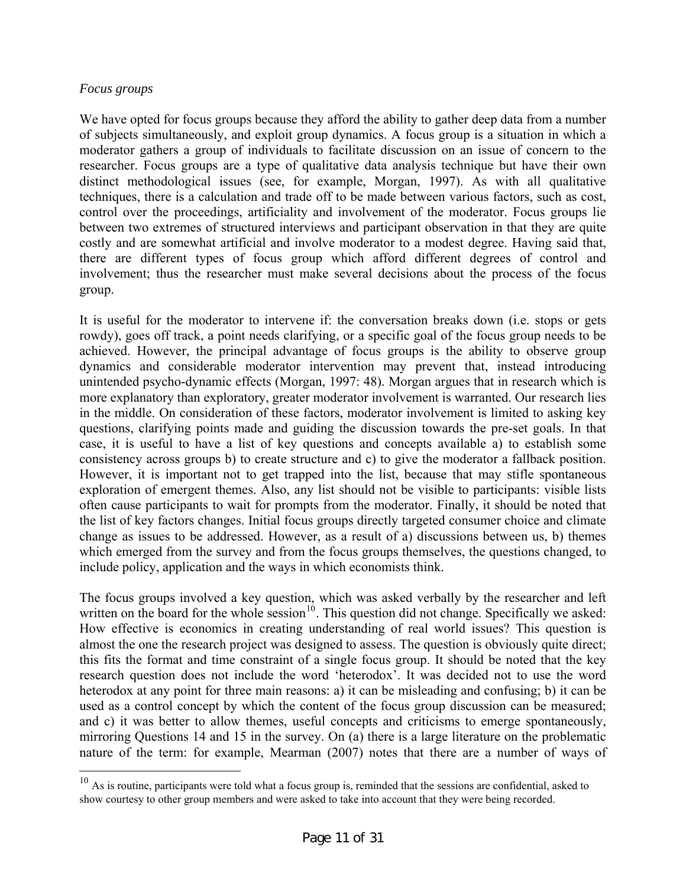## *Focus groups*

 $\overline{a}$ 

We have opted for focus groups because they afford the ability to gather deep data from a number of subjects simultaneously, and exploit group dynamics. A focus group is a situation in which a moderator gathers a group of individuals to facilitate discussion on an issue of concern to the researcher. Focus groups are a type of qualitative data analysis technique but have their own distinct methodological issues (see, for example, Morgan, 1997). As with all qualitative techniques, there is a calculation and trade off to be made between various factors, such as cost, control over the proceedings, artificiality and involvement of the moderator. Focus groups lie between two extremes of structured interviews and participant observation in that they are quite costly and are somewhat artificial and involve moderator to a modest degree. Having said that, there are different types of focus group which afford different degrees of control and involvement; thus the researcher must make several decisions about the process of the focus group.

It is useful for the moderator to intervene if: the conversation breaks down (i.e. stops or gets rowdy), goes off track, a point needs clarifying, or a specific goal of the focus group needs to be achieved. However, the principal advantage of focus groups is the ability to observe group dynamics and considerable moderator intervention may prevent that, instead introducing unintended psycho-dynamic effects (Morgan, 1997: 48). Morgan argues that in research which is more explanatory than exploratory, greater moderator involvement is warranted. Our research lies in the middle. On consideration of these factors, moderator involvement is limited to asking key questions, clarifying points made and guiding the discussion towards the pre-set goals. In that case, it is useful to have a list of key questions and concepts available a) to establish some consistency across groups b) to create structure and c) to give the moderator a fallback position. However, it is important not to get trapped into the list, because that may stifle spontaneous exploration of emergent themes. Also, any list should not be visible to participants: visible lists often cause participants to wait for prompts from the moderator. Finally, it should be noted that the list of key factors changes. Initial focus groups directly targeted consumer choice and climate change as issues to be addressed. However, as a result of a) discussions between us, b) themes which emerged from the survey and from the focus groups themselves, the questions changed, to include policy, application and the ways in which economists think.

The focus groups involved a key question, which was asked verbally by the researcher and left written on the board for the whole session $10$ . This question did not change. Specifically we asked: How effective is economics in creating understanding of real world issues? This question is almost the one the research project was designed to assess. The question is obviously quite direct; this fits the format and time constraint of a single focus group. It should be noted that the key research question does not include the word 'heterodox'. It was decided not to use the word heterodox at any point for three main reasons: a) it can be misleading and confusing; b) it can be used as a control concept by which the content of the focus group discussion can be measured; and c) it was better to allow themes, useful concepts and criticisms to emerge spontaneously, mirroring Questions 14 and 15 in the survey. On (a) there is a large literature on the problematic nature of the term: for example, Mearman (2007) notes that there are a number of ways of

<span id="page-10-0"></span> $10<sup>10</sup>$  As is routine, participants were told what a focus group is, reminded that the sessions are confidential, asked to show courtesy to other group members and were asked to take into account that they were being recorded.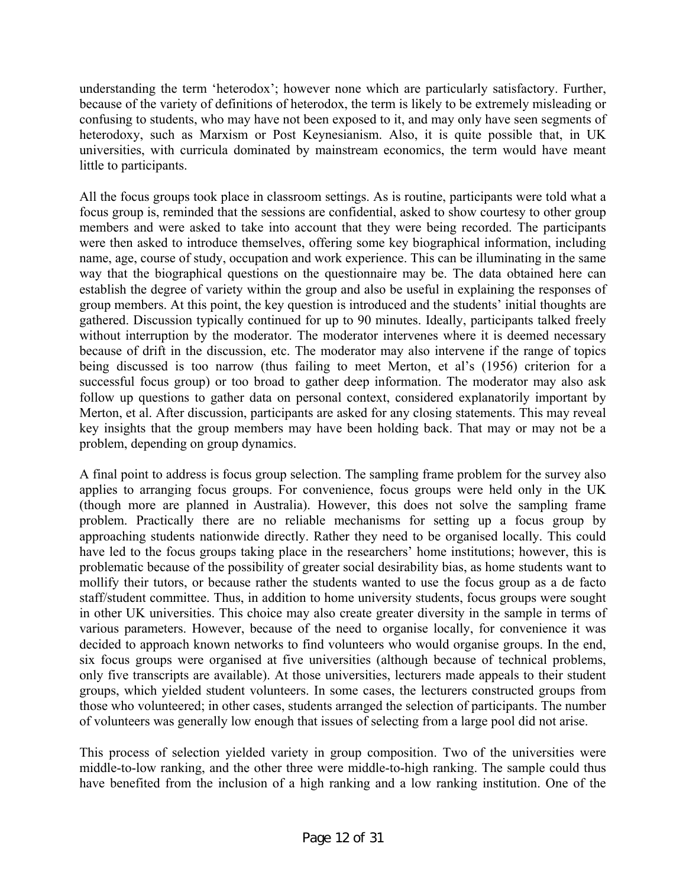understanding the term 'heterodox'; however none which are particularly satisfactory. Further, because of the variety of definitions of heterodox, the term is likely to be extremely misleading or confusing to students, who may have not been exposed to it, and may only have seen segments of heterodoxy, such as Marxism or Post Keynesianism. Also, it is quite possible that, in UK universities, with curricula dominated by mainstream economics, the term would have meant little to participants.

All the focus groups took place in classroom settings. As is routine, participants were told what a focus group is, reminded that the sessions are confidential, asked to show courtesy to other group members and were asked to take into account that they were being recorded. The participants were then asked to introduce themselves, offering some key biographical information, including name, age, course of study, occupation and work experience. This can be illuminating in the same way that the biographical questions on the questionnaire may be. The data obtained here can establish the degree of variety within the group and also be useful in explaining the responses of group members. At this point, the key question is introduced and the students' initial thoughts are gathered. Discussion typically continued for up to 90 minutes. Ideally, participants talked freely without interruption by the moderator. The moderator intervenes where it is deemed necessary because of drift in the discussion, etc. The moderator may also intervene if the range of topics being discussed is too narrow (thus failing to meet Merton, et al's (1956) criterion for a successful focus group) or too broad to gather deep information. The moderator may also ask follow up questions to gather data on personal context, considered explanatorily important by Merton, et al. After discussion, participants are asked for any closing statements. This may reveal key insights that the group members may have been holding back. That may or may not be a problem, depending on group dynamics.

A final point to address is focus group selection. The sampling frame problem for the survey also applies to arranging focus groups. For convenience, focus groups were held only in the UK (though more are planned in Australia). However, this does not solve the sampling frame problem. Practically there are no reliable mechanisms for setting up a focus group by approaching students nationwide directly. Rather they need to be organised locally. This could have led to the focus groups taking place in the researchers' home institutions; however, this is problematic because of the possibility of greater social desirability bias, as home students want to mollify their tutors, or because rather the students wanted to use the focus group as a de facto staff/student committee. Thus, in addition to home university students, focus groups were sought in other UK universities. This choice may also create greater diversity in the sample in terms of various parameters. However, because of the need to organise locally, for convenience it was decided to approach known networks to find volunteers who would organise groups. In the end, six focus groups were organised at five universities (although because of technical problems, only five transcripts are available). At those universities, lecturers made appeals to their student groups, which yielded student volunteers. In some cases, the lecturers constructed groups from those who volunteered; in other cases, students arranged the selection of participants. The number of volunteers was generally low enough that issues of selecting from a large pool did not arise.

This process of selection yielded variety in group composition. Two of the universities were middle-to-low ranking, and the other three were middle-to-high ranking. The sample could thus have benefited from the inclusion of a high ranking and a low ranking institution. One of the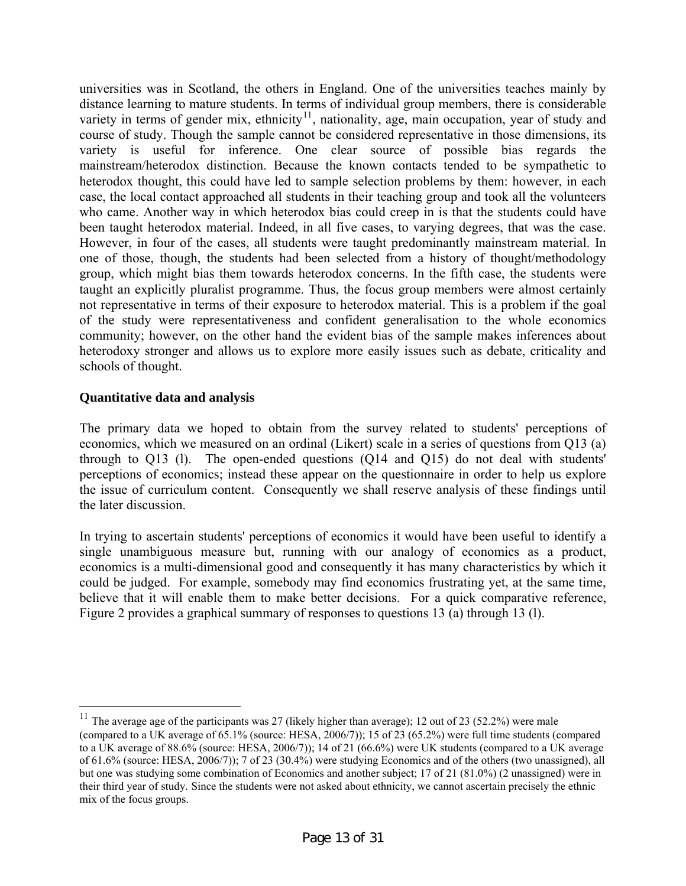universities was in Scotland, the others in England. One of the universities teaches mainly by distance learning to mature students. In terms of individual group members, there is considerable variety in terms of gender mix, ethnicity<sup>[11](#page-12-0)</sup>, nationality, age, main occupation, year of study and course of study. Though the sample cannot be considered representative in those dimensions, its variety is useful for inference. One clear source of possible bias regards the mainstream/heterodox distinction. Because the known contacts tended to be sympathetic to heterodox thought, this could have led to sample selection problems by them: however, in each case, the local contact approached all students in their teaching group and took all the volunteers who came. Another way in which heterodox bias could creep in is that the students could have been taught heterodox material. Indeed, in all five cases, to varying degrees, that was the case. However, in four of the cases, all students were taught predominantly mainstream material. In one of those, though, the students had been selected from a history of thought/methodology group, which might bias them towards heterodox concerns. In the fifth case, the students were taught an explicitly pluralist programme. Thus, the focus group members were almost certainly not representative in terms of their exposure to heterodox material. This is a problem if the goal of the study were representativeness and confident generalisation to the whole economics community; however, on the other hand the evident bias of the sample makes inferences about heterodoxy stronger and allows us to explore more easily issues such as debate, criticality and schools of thought.

# **Quantitative data and analysis**

 $\overline{a}$ 

The primary data we hoped to obtain from the survey related to students' perceptions of economics, which we measured on an ordinal (Likert) scale in a series of questions from Q13 (a) through to Q13 (l). The open-ended questions (Q14 and Q15) do not deal with students' perceptions of economics; instead these appear on the questionnaire in order to help us explore the issue of curriculum content. Consequently we shall reserve analysis of these findings until the later discussion.

In trying to ascertain students' perceptions of economics it would have been useful to identify a single unambiguous measure but, running with our analogy of economics as a product, economics is a multi-dimensional good and consequently it has many characteristics by which it could be judged. For example, somebody may find economics frustrating yet, at the same time, believe that it will enable them to make better decisions. For a quick comparative reference, Figure 2 provides a graphical summary of responses to questions 13 (a) through 13 (l).

<span id="page-12-0"></span><sup>&</sup>lt;sup>11</sup> The average age of the participants was 27 (likely higher than average); 12 out of 23 (52.2%) were male (compared to a UK average of 65.1% (source: HESA, 2006/7)); 15 of 23 (65.2%) were full time students (compared to a UK average of 88.6% (source: HESA, 2006/7)); 14 of 21 (66.6%) were UK students (compared to a UK average of 61.6% (source: HESA, 2006/7)); 7 of 23 (30.4%) were studying Economics and of the others (two unassigned), all but one was studying some combination of Economics and another subject; 17 of 21 (81.0%) (2 unassigned) were in their third year of study. Since the students were not asked about ethnicity, we cannot ascertain precisely the ethnic mix of the focus groups.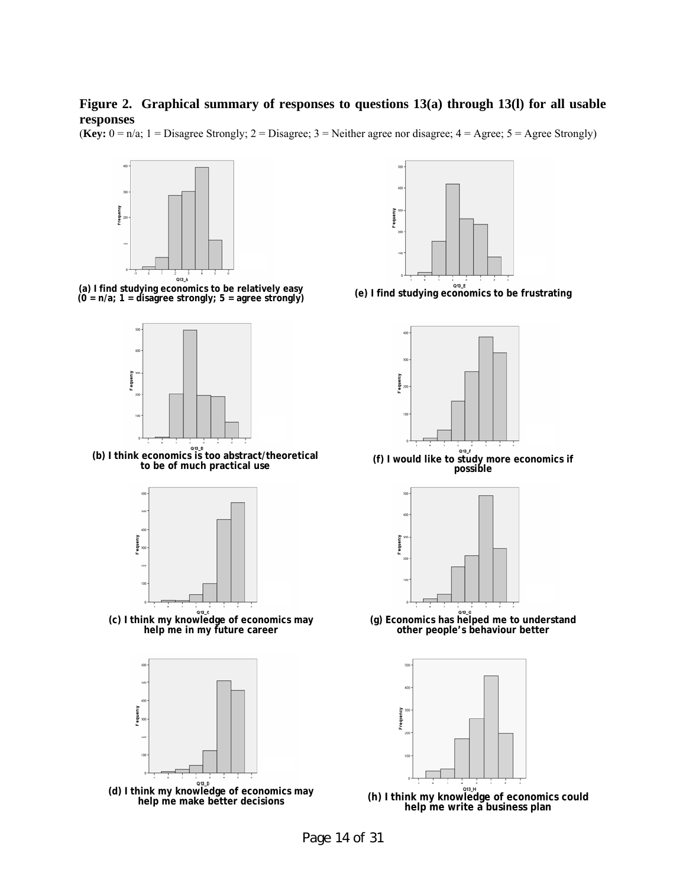#### **Figure 2. Graphical summary of responses to questions 13(a) through 13(l) for all usable responses**





Page 14 of 31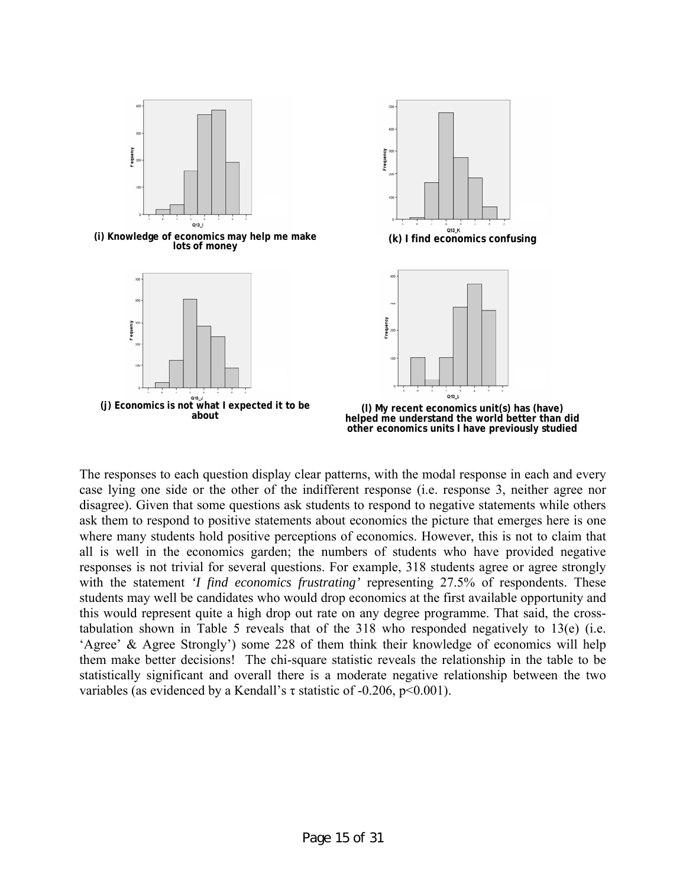

The responses to each question display clear patterns, with the modal response in each and every case lying one side or the other of the indifferent response (i.e. response 3, neither agree nor disagree). Given that some questions ask students to respond to negative statements while others ask them to respond to positive statements about economics the picture that emerges here is one where many students hold positive perceptions of economics. However, this is not to claim that all is well in the economics garden; the numbers of students who have provided negative responses is not trivial for several questions. For example, 318 students agree or agree strongly with the statement *'I find economics frustrating'* representing 27.5% of respondents. These students may well be candidates who would drop economics at the first available opportunity and this would represent quite a high drop out rate on any degree programme. That said, the crosstabulation shown in Table 5 reveals that of the 318 who responded negatively to 13(e) (i.e. 'Agree' & Agree Strongly') some 228 of them think their knowledge of economics will help them make better decisions! The chi-square statistic reveals the relationship in the table to be statistically significant and overall there is a moderate negative relationship between the two variables (as evidenced by a Kendall's  $\tau$  statistic of -0.206, p<0.001).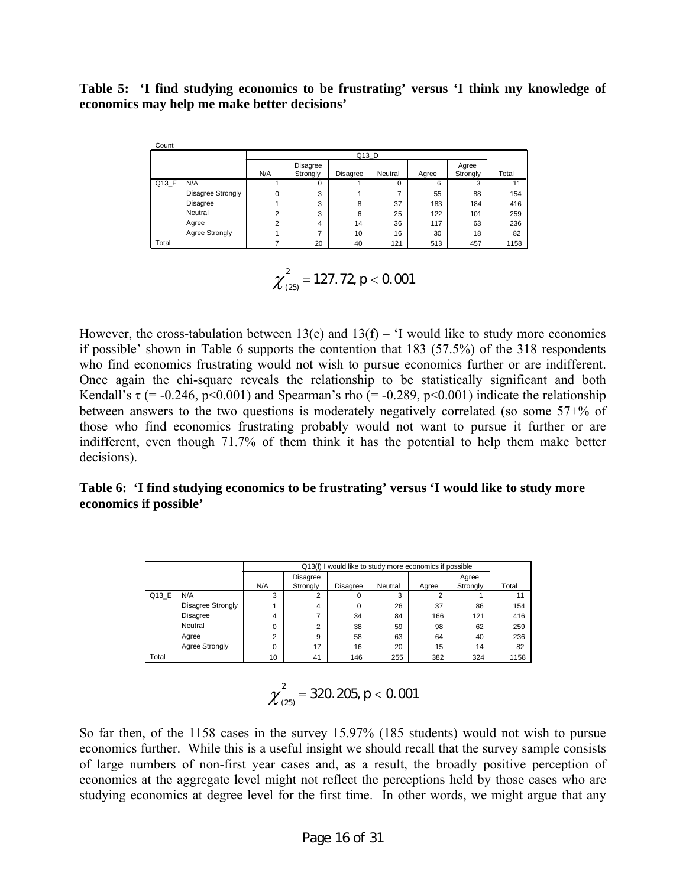# **Table 5: 'I find studying economics to be frustrating' versus 'I think my knowledge of economics may help me make better decisions'**

| Count |                   |        |          |          |          |       |          |       |  |  |  |  |
|-------|-------------------|--------|----------|----------|----------|-------|----------|-------|--|--|--|--|
|       |                   |        | Q13_D    |          |          |       |          |       |  |  |  |  |
|       |                   |        | Disagree |          |          |       | Agree    |       |  |  |  |  |
|       |                   | N/A    | Strongly | Disagree | Neutral  | Agree | Strongly | Total |  |  |  |  |
| Q13 E | N/A               |        | 0        |          | $\Omega$ | 6     | 3        | 11    |  |  |  |  |
|       | Disagree Strongly | 0      | 3        |          |          | 55    | 88       | 154   |  |  |  |  |
|       | Disagree          |        | 3        | 8        | 37       | 183   | 184      | 416   |  |  |  |  |
|       | Neutral           | c<br>۷ | 3        | 6        | 25       | 122   | 101      | 259   |  |  |  |  |
|       | Agree             | c      | 4        | 14       | 36       | 117   | 63       | 236   |  |  |  |  |
|       | Agree Strongly    |        | -        | 10       | 16       | 30    | 18       | 82    |  |  |  |  |
| Total |                   |        | 20       | 40       | 121      | 513   | 457      | 1158  |  |  |  |  |

$$
\chi^2_{(25)}=127.72, p<0.001
$$

However, the cross-tabulation between  $13(e)$  and  $13(f) - 1$  would like to study more economics if possible' shown in Table 6 supports the contention that 183 (57.5%) of the 318 respondents who find economics frustrating would not wish to pursue economics further or are indifferent. Once again the chi-square reveals the relationship to be statistically significant and both Kendall's  $\tau$  (= -0.246, p<0.001) and Spearman's rho (= -0.289, p<0.001) indicate the relationship between answers to the two questions is moderately negatively correlated (so some 57+% of those who find economics frustrating probably would not want to pursue it further or are indifferent, even though 71.7% of them think it has the potential to help them make better decisions).

# **Table 6: 'I find studying economics to be frustrating' versus 'I would like to study more economics if possible'**

|       |                   |          |                      | Q13(f) I would like to study more economics if possible |         |       |                   |       |
|-------|-------------------|----------|----------------------|---------------------------------------------------------|---------|-------|-------------------|-------|
|       |                   | N/A      | Disagree<br>Strongly | Disagree                                                | Neutral | Agree | Agree<br>Strongly | Total |
| Q13 E | N/A               | 3        | 2                    | 0                                                       | 3       | ◠     |                   | 11    |
|       | Disagree Strongly |          | 4                    | 0                                                       | 26      | 37    | 86                | 154   |
|       | Disagree          | 4        |                      | 34                                                      | 84      | 166   | 121               | 416   |
|       | Neutral           | $\Omega$ | $\overline{2}$       | 38                                                      | 59      | 98    | 62                | 259   |
|       | Agree             | C        | 9                    | 58                                                      | 63      | 64    | 40                | 236   |
|       | Agree Strongly    | $\Omega$ | 17                   | 16                                                      | 20      | 15    | 14                | 82    |
| Total |                   | 10       | 41                   | 146                                                     | 255     | 382   | 324               | 1158  |

$$
\chi^2_{(25)}=320.205, p<0.001
$$

So far then, of the 1158 cases in the survey 15.97% (185 students) would not wish to pursue economics further. While this is a useful insight we should recall that the survey sample consists of large numbers of non-first year cases and, as a result, the broadly positive perception of economics at the aggregate level might not reflect the perceptions held by those cases who are studying economics at degree level for the first time. In other words, we might argue that any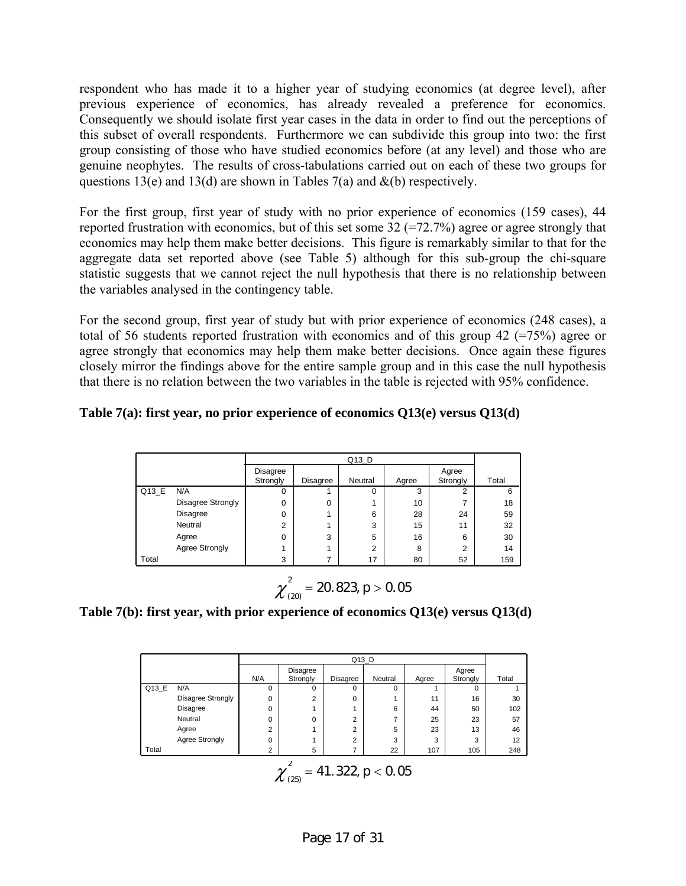respondent who has made it to a higher year of studying economics (at degree level), after previous experience of economics, has already revealed a preference for economics. Consequently we should isolate first year cases in the data in order to find out the perceptions of this subset of overall respondents. Furthermore we can subdivide this group into two: the first group consisting of those who have studied economics before (at any level) and those who are genuine neophytes. The results of cross-tabulations carried out on each of these two groups for questions 13(e) and 13(d) are shown in Tables 7(a) and  $\&$ (b) respectively.

For the first group, first year of study with no prior experience of economics (159 cases), 44 reported frustration with economics, but of this set some  $32$  (=72.7%) agree or agree strongly that economics may help them make better decisions. This figure is remarkably similar to that for the aggregate data set reported above (see Table 5) although for this sub-group the chi-square statistic suggests that we cannot reject the null hypothesis that there is no relationship between the variables analysed in the contingency table.

For the second group, first year of study but with prior experience of economics (248 cases), a total of 56 students reported frustration with economics and of this group 42 (=75%) agree or agree strongly that economics may help them make better decisions. Once again these figures closely mirror the findings above for the entire sample group and in this case the null hypothesis that there is no relation between the two variables in the table is rejected with 95% confidence.

## **Table 7(a): first year, no prior experience of economics Q13(e) versus Q13(d)**

|       |                   |                      |          | Q13 D          |       |                   |       |
|-------|-------------------|----------------------|----------|----------------|-------|-------------------|-------|
|       |                   | Disagree<br>Strongly | Disagree | Neutral        | Agree | Agree<br>Strongly | Total |
| Q13_E | N/A               | 0                    |          | 0              | 3     | $\overline{2}$    | 6     |
|       | Disagree Strongly | 0                    | 0        |                | 10    | ⇁                 | 18    |
|       | Disagree          | 0                    |          | 6              | 28    | 24                | 59    |
|       | Neutral           | $\overline{2}$       |          | 3              | 15    | 11                | 32    |
|       | Agree             | 0                    | 3        | 5              | 16    | 6                 | 30    |
|       | Agree Strongly    |                      |          | $\overline{2}$ | 8     | $\overline{2}$    | 14    |
| Total |                   | 3                    | 7        | 17             | 80    | 52                | 159   |

$$
\chi^2_{(20)}=20.823, p>0.05
$$

**Table 7(b): first year, with prior experience of economics Q13(e) versus Q13(d)** 

|                                                                  |                                 |                |                | Q13_D       |          |       |          |       |  |  |
|------------------------------------------------------------------|---------------------------------|----------------|----------------|-------------|----------|-------|----------|-------|--|--|
|                                                                  |                                 |                | Disagree       |             |          |       | Agree    |       |  |  |
|                                                                  |                                 | N/A            | Strongly       | Disagree    | Neutral  | Agree | Strongly | Total |  |  |
| Q13 E                                                            | N/A                             | $\Omega$       | 0              | $\mathbf 0$ | $\Omega$ |       | $\Omega$ |       |  |  |
|                                                                  | Disagree Strongly               | 0              | $\overline{2}$ | 0           |          | 11    | 16       | 30    |  |  |
|                                                                  | Disagree                        | 0              | 4              |             | 6        | 44    | 50       | 102   |  |  |
|                                                                  | Neutral                         | 0              | 0              | 2           | 7        | 25    | 23       | 57    |  |  |
|                                                                  | Agree                           | $\overline{2}$ | 4              | 2           | 5        | 23    | 13       | 46    |  |  |
|                                                                  | Agree Strongly                  | $\Omega$       | 4              | 2           | 3        | 3     | 3        | 12    |  |  |
| Total                                                            | 22<br>5<br>2<br>7<br>107<br>105 |                |                |             |          |       |          |       |  |  |
| $\gamma_{\text{max}}^2 = 41.322, p < 0.05$<br>$\mathcal{N}$ (25) |                                 |                |                |             |          |       |          |       |  |  |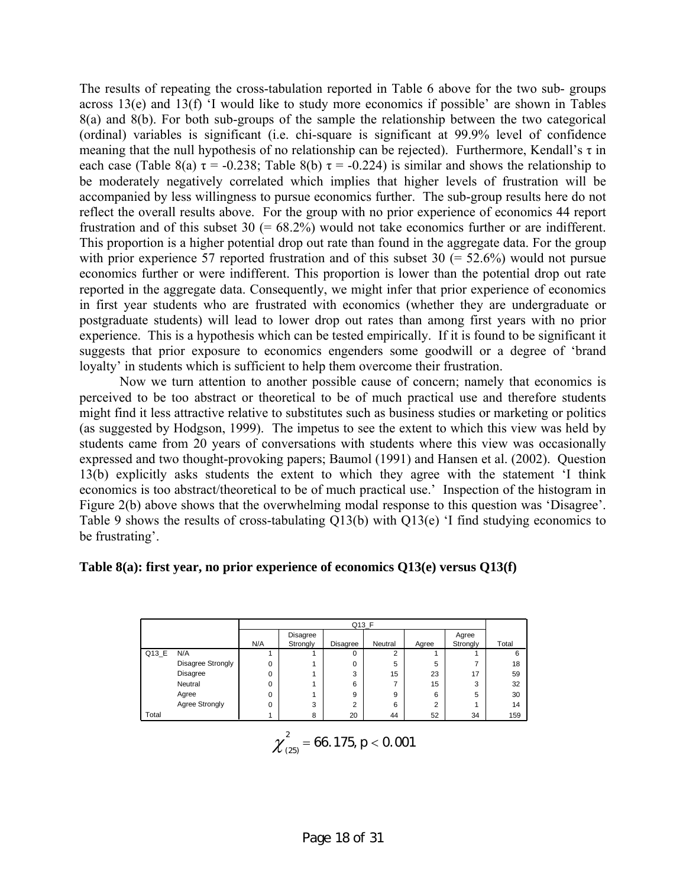The results of repeating the cross-tabulation reported in Table 6 above for the two sub- groups across 13(e) and 13(f) 'I would like to study more economics if possible' are shown in Tables 8(a) and 8(b). For both sub-groups of the sample the relationship between the two categorical (ordinal) variables is significant (i.e. chi-square is significant at 99.9% level of confidence meaning that the null hypothesis of no relationship can be rejected). Furthermore, Kendall's  $\tau$  in each case (Table 8(a)  $\tau$  = -0.238; Table 8(b)  $\tau$  = -0.224) is similar and shows the relationship to be moderately negatively correlated which implies that higher levels of frustration will be accompanied by less willingness to pursue economics further. The sub-group results here do not reflect the overall results above. For the group with no prior experience of economics 44 report frustration and of this subset  $30$  (=  $68.2\%$ ) would not take economics further or are indifferent. This proportion is a higher potential drop out rate than found in the aggregate data. For the group with prior experience 57 reported frustration and of this subset 30  $(= 52.6%)$  would not pursue economics further or were indifferent. This proportion is lower than the potential drop out rate reported in the aggregate data. Consequently, we might infer that prior experience of economics in first year students who are frustrated with economics (whether they are undergraduate or postgraduate students) will lead to lower drop out rates than among first years with no prior experience. This is a hypothesis which can be tested empirically. If it is found to be significant it suggests that prior exposure to economics engenders some goodwill or a degree of 'brand loyalty' in students which is sufficient to help them overcome their frustration.

 Now we turn attention to another possible cause of concern; namely that economics is perceived to be too abstract or theoretical to be of much practical use and therefore students might find it less attractive relative to substitutes such as business studies or marketing or politics (as suggested by Hodgson, 1999). The impetus to see the extent to which this view was held by students came from 20 years of conversations with students where this view was occasionally expressed and two thought-provoking papers; Baumol (1991) and Hansen et al. (2002). Question 13(b) explicitly asks students the extent to which they agree with the statement 'I think economics is too abstract/theoretical to be of much practical use.' Inspection of the histogram in Figure 2(b) above shows that the overwhelming modal response to this question was 'Disagree'. Table 9 shows the results of cross-tabulating Q13(b) with Q13(e) 'I find studying economics to be frustrating'.

#### **Table 8(a): first year, no prior experience of economics Q13(e) versus Q13(f)**

|                      |                          |          | Q13_F                |                |                |          |                   |       |  |  |  |
|----------------------|--------------------------|----------|----------------------|----------------|----------------|----------|-------------------|-------|--|--|--|
|                      |                          | N/A      | Disagree<br>Strongly | Disagree       | Neutral        | Agree    | Agree<br>Strongly | Total |  |  |  |
| $Q13$ <sub>_</sub> E | N/A                      |          |                      | $\Omega$       | $\overline{2}$ |          |                   | 6     |  |  |  |
|                      | <b>Disagree Strongly</b> | $\Omega$ |                      | 0              | 5              | 5        |                   | 18    |  |  |  |
|                      | Disagree                 | $\Omega$ |                      | 3              | 15             | 23       | 17                | 59    |  |  |  |
|                      | Neutral                  | $\Omega$ |                      | 6              |                | 15       | 3                 | 32    |  |  |  |
|                      | Agree                    | $\Omega$ |                      | 9              | 9              | 6        | 5                 | 30    |  |  |  |
|                      | Agree Strongly           | $\Omega$ | 3                    | $\overline{2}$ | 6              | $\Omega$ |                   | 14    |  |  |  |
| Total                |                          |          | 8                    | 20             | 44             | 52       | 34                | 159   |  |  |  |

$$
\chi^2_{(25)}=66.175, p<0.001
$$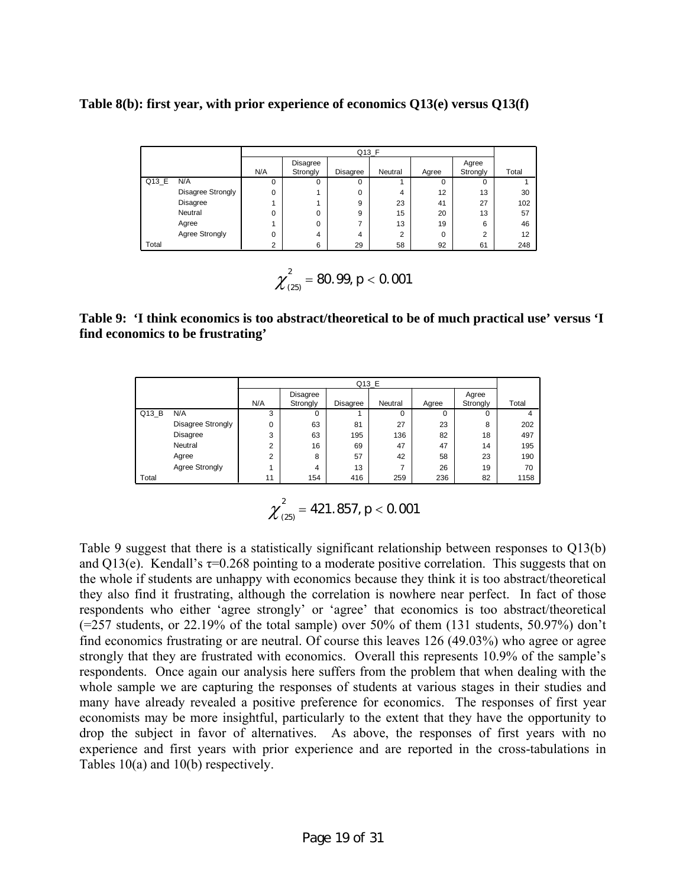**Table 8(b): first year, with prior experience of economics Q13(e) versus Q13(f)** 

|       |                   |     | $Q13_F$              |          |                |       |                   |       |
|-------|-------------------|-----|----------------------|----------|----------------|-------|-------------------|-------|
|       |                   | N/A | Disagree<br>Strongly | Disagree | Neutral        | Agree | Agree<br>Strongly | Total |
| Q13_E | N/A               | 0   | 0                    | 0        |                | 0     | 0                 |       |
|       | Disagree Strongly | 0   |                      | 0        | 4              | 12    | 13                | 30    |
|       | <b>Disagree</b>   |     |                      | 9        | 23             | 41    | 27                | 102   |
|       | Neutral           | 0   | 0                    | 9        | 15             | 20    | 13                | 57    |
|       | Agree             |     | 0                    | ⇁        | 13             | 19    | 6                 | 46    |
|       | Agree Strongly    | 0   | 4                    | 4        | $\overline{2}$ | 0     | $\overline{2}$    | 12    |
| Total |                   | C   | 6                    | 29       | 58             | 92    | 61                | 248   |

$$
\chi^2_{(25)}=80.99, p<0.001
$$

# **Table 9: 'I think economics is too abstract/theoretical to be of much practical use' versus 'I find economics to be frustrating'**

|       |                   | Q13 E |                      |          |         |       |                   |       |
|-------|-------------------|-------|----------------------|----------|---------|-------|-------------------|-------|
|       |                   | N/A   | Disagree<br>Strongly | Disagree | Neutral | Agree | Agree<br>Strongly | Total |
| Q13B  | N/A               | 3     | 0                    |          | 0       | 0     | 0                 | 4     |
|       | Disagree Strongly | 0     | 63                   | 81       | 27      | 23    | 8                 | 202   |
|       | <b>Disagree</b>   | 3     | 63                   | 195      | 136     | 82    | 18                | 497   |
|       | Neutral           | c     | 16                   | 69       | 47      | 47    | 14                | 195   |
|       | Agree             | c     | 8                    | 57       | 42      | 58    | 23                | 190   |
|       | Agree Strongly    |       | 4                    | 13       | ⇁       | 26    | 19                | 70    |
| Total |                   | 11    | 154                  | 416      | 259     | 236   | 82                | 1158  |

$$
\chi^2_{(25)}=421.857, p<0.001
$$

Table 9 suggest that there is a statistically significant relationship between responses to Q13(b) and Q13(e). Kendall's  $\tau$ =0.268 pointing to a moderate positive correlation. This suggests that on the whole if students are unhappy with economics because they think it is too abstract/theoretical they also find it frustrating, although the correlation is nowhere near perfect. In fact of those respondents who either 'agree strongly' or 'agree' that economics is too abstract/theoretical  $(=257$  students, or 22.19% of the total sample) over 50% of them  $(131$  students, 50.97%) don't find economics frustrating or are neutral. Of course this leaves 126 (49.03%) who agree or agree strongly that they are frustrated with economics. Overall this represents 10.9% of the sample's respondents. Once again our analysis here suffers from the problem that when dealing with the whole sample we are capturing the responses of students at various stages in their studies and many have already revealed a positive preference for economics. The responses of first year economists may be more insightful, particularly to the extent that they have the opportunity to drop the subject in favor of alternatives. As above, the responses of first years with no experience and first years with prior experience and are reported in the cross-tabulations in Tables 10(a) and 10(b) respectively.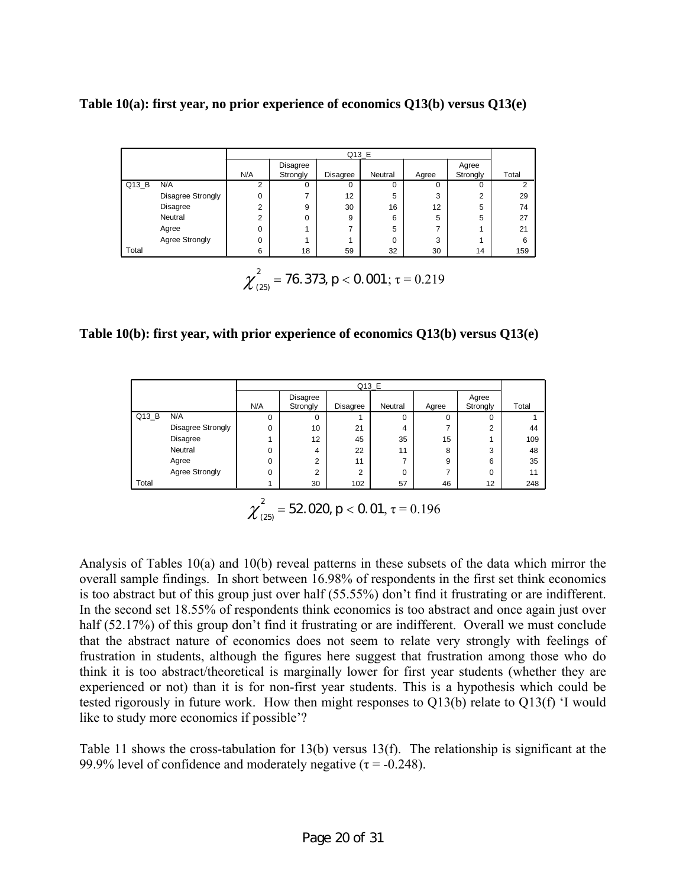**Table 10(a): first year, no prior experience of economics Q13(b) versus Q13(e)** 

|       |                          | Q13 E                               |                                              |          |          |          |          |       |
|-------|--------------------------|-------------------------------------|----------------------------------------------|----------|----------|----------|----------|-------|
|       |                          |                                     | Disagree                                     |          |          |          | Agree    |       |
|       |                          | N/A                                 | Strongly                                     | Disagree | Neutral  | Agree    | Strongly | Total |
| Q13 B | N/A                      | $\overline{2}$                      | $\Omega$                                     | $\Omega$ | $\Omega$ | $\Omega$ | 0        | 2     |
|       | <b>Disagree Strongly</b> | 0                                   |                                              | 12       | 5        | 3        | 2        | 29    |
|       | <b>Disagree</b>          | $\overline{2}$                      | 9                                            | 30       | 16       | 12       | 5        | 74    |
|       | Neutral                  | $\overline{2}$                      | 0                                            | 9        | 6        | 5        | 5        | 27    |
|       | Agree                    | $\Omega$                            |                                              | ⇁        | 5        | ⇁        |          | 21    |
|       | Agree Strongly           | $\Omega$                            |                                              |          | $\Omega$ | 3        |          | 6     |
| Total |                          | 6                                   | 18                                           | 59       | 32       | 30       | 14       | 159   |
|       |                          |                                     |                                              |          |          |          |          |       |
|       |                          |                                     |                                              |          |          |          |          |       |
|       |                          | $\chi_{\scriptscriptstyle (25)}^{}$ | $\tau$ = 76.373, $p$ < 0.001; $\tau$ = 0.219 |          |          |          |          |       |

**Table 10(b): first year, with prior experience of economics Q13(b) versus Q13(e)** 

|       | Q13_E                 |     |                      |          |          |       |                   |       |
|-------|-----------------------|-----|----------------------|----------|----------|-------|-------------------|-------|
|       |                       | N/A | Disagree<br>Strongly | Disagree | Neutral  | Agree | Agree<br>Strongly | Total |
| Q13 B | N/A                   | 0   | 0                    |          | $\Omega$ | 0     | $\Omega$          |       |
|       | Disagree Strongly     | 0   | 10                   | 21       | 4        |       | $\Omega$          | 44    |
|       | Disagree              |     | 12                   | 45       | 35       | 15    |                   | 109   |
|       | Neutral               | 0   | 4                    | 22       | 11       | 8     | 3                 | 48    |
|       | Agree                 | 0   | C                    | 11       |          | 9     | 6                 | 35    |
|       | <b>Agree Strongly</b> | 0   | $\overline{2}$       | 2        | $\Omega$ |       | $\Omega$          | 11    |
| Total |                       |     | 30                   | 102      | 57       | 46    | 12                | 248   |

 $\chi^2_{(25)} = 52.020$ ,  $p < 0.01$ ,  $\tau = 0.196$ 

Analysis of Tables 10(a) and 10(b) reveal patterns in these subsets of the data which mirror the overall sample findings. In short between 16.98% of respondents in the first set think economics is too abstract but of this group just over half (55.55%) don't find it frustrating or are indifferent. In the second set 18.55% of respondents think economics is too abstract and once again just over half (52.17%) of this group don't find it frustrating or are indifferent. Overall we must conclude that the abstract nature of economics does not seem to relate very strongly with feelings of frustration in students, although the figures here suggest that frustration among those who do think it is too abstract/theoretical is marginally lower for first year students (whether they are experienced or not) than it is for non-first year students. This is a hypothesis which could be tested rigorously in future work. How then might responses to Q13(b) relate to Q13(f) 'I would like to study more economics if possible'?

Table 11 shows the cross-tabulation for 13(b) versus 13(f). The relationship is significant at the 99.9% level of confidence and moderately negative ( $\tau$  = -0.248).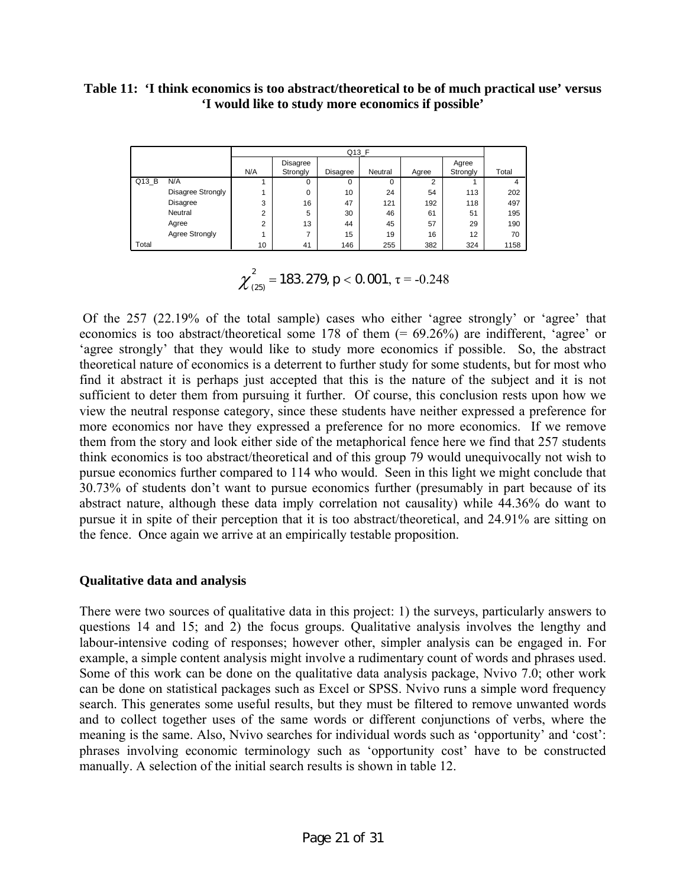#### **Table 11: 'I think economics is too abstract/theoretical to be of much practical use' versus 'I would like to study more economics if possible'**

|       |                   | Q13_F  |                             |          |          |       |                   |       |
|-------|-------------------|--------|-----------------------------|----------|----------|-------|-------------------|-------|
|       |                   | N/A    | <b>Disagree</b><br>Strongly | Disagree | Neutral  | Agree | Agree<br>Strongly | Total |
| Q13 B | N/A               |        | 0                           | 0        | $\Omega$ | ◠     |                   |       |
|       | Disagree Strongly |        | 0                           | 10       | 24       | 54    | 113               | 202   |
|       | Disagree          | 3      | 16                          | 47       | 121      | 192   | 118               | 497   |
|       | Neutral           | ◠<br>∠ | 5                           | 30       | 46       | 61    | 51                | 195   |
|       | Agree             | ◠<br>ے | 13                          | 44       | 45       | 57    | 29                | 190   |
|       | Agree Strongly    |        | ⇁                           | 15       | 19       | 16    | 12                | 70    |
| Total |                   | 10     | 41                          | 146      | 255      | 382   | 324               | 1158  |

$$
\chi^2_{(25)} = 183.279, p < 0.001, \tau = -0.248
$$

 Of the 257 (22.19% of the total sample) cases who either 'agree strongly' or 'agree' that economics is too abstract/theoretical some 178 of them (= 69.26%) are indifferent, 'agree' or 'agree strongly' that they would like to study more economics if possible. So, the abstract theoretical nature of economics is a deterrent to further study for some students, but for most who find it abstract it is perhaps just accepted that this is the nature of the subject and it is not sufficient to deter them from pursuing it further. Of course, this conclusion rests upon how we view the neutral response category, since these students have neither expressed a preference for more economics nor have they expressed a preference for no more economics. If we remove them from the story and look either side of the metaphorical fence here we find that 257 students think economics is too abstract/theoretical and of this group 79 would unequivocally not wish to pursue economics further compared to 114 who would. Seen in this light we might conclude that 30.73% of students don't want to pursue economics further (presumably in part because of its abstract nature, although these data imply correlation not causality) while 44.36% do want to pursue it in spite of their perception that it is too abstract/theoretical, and 24.91% are sitting on the fence. Once again we arrive at an empirically testable proposition.

# **Qualitative data and analysis**

There were two sources of qualitative data in this project: 1) the surveys, particularly answers to questions 14 and 15; and 2) the focus groups. Qualitative analysis involves the lengthy and labour-intensive coding of responses; however other, simpler analysis can be engaged in. For example, a simple content analysis might involve a rudimentary count of words and phrases used. Some of this work can be done on the qualitative data analysis package, Nvivo 7.0; other work can be done on statistical packages such as Excel or SPSS. Nvivo runs a simple word frequency search. This generates some useful results, but they must be filtered to remove unwanted words and to collect together uses of the same words or different conjunctions of verbs, where the meaning is the same. Also, Nvivo searches for individual words such as 'opportunity' and 'cost': phrases involving economic terminology such as 'opportunity cost' have to be constructed manually. A selection of the initial search results is shown in table 12.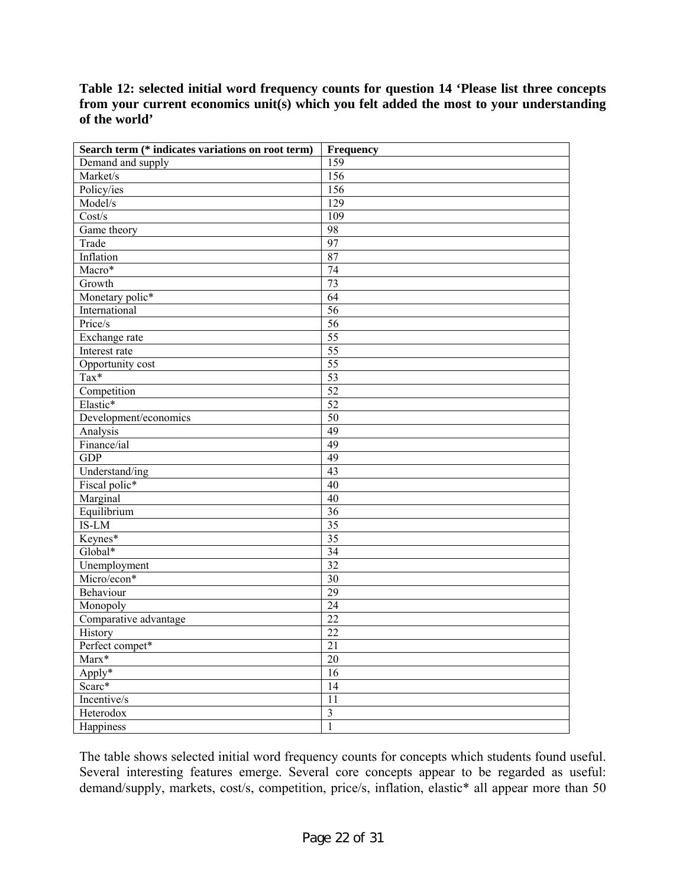**Table 12: selected initial word frequency counts for question 14 'Please list three concepts from your current economics unit(s) which you felt added the most to your understanding of the world'** 

| Search term (* indicates variations on root term) | Frequency               |
|---------------------------------------------------|-------------------------|
| Demand and supply                                 | 159                     |
| Market/s                                          | 156                     |
| Policy/ies                                        | 156                     |
| Model/s                                           | 129                     |
| Cost/s                                            | 109                     |
| Game theory                                       | 98                      |
| Trade                                             | 97                      |
| Inflation                                         | 87                      |
| $Macro*$                                          | $\overline{74}$         |
| Growth                                            | $\overline{73}$         |
| Monetary polic*                                   | 64                      |
| International                                     | $\overline{56}$         |
| Price/s                                           | $\overline{56}$         |
| Exchange rate                                     | $\overline{55}$         |
| Interest rate                                     | $\overline{55}$         |
| Opportunity cost                                  | $\overline{55}$         |
| Tax*                                              | $\overline{53}$         |
| Competition                                       | 52                      |
| Elastic*                                          | $\overline{52}$         |
| Development/economics                             | $\overline{50}$         |
| Analysis                                          | 49                      |
| Finance/ial                                       | 49                      |
| <b>GDP</b>                                        | 49                      |
| Understand/ing                                    | 43                      |
| Fiscal polic*                                     | 40                      |
| Marginal                                          | 40                      |
| Equilibrium                                       | $\overline{36}$         |
| IS-LM                                             | $\overline{35}$         |
| Keynes*                                           | $\overline{35}$         |
| Global*                                           | $\overline{34}$         |
| Unemployment                                      | $\overline{32}$         |
| Micro/econ*                                       | $\overline{30}$         |
| Behaviour                                         | $\overline{29}$         |
| Monopoly                                          | $\overline{24}$         |
| Comparative advantage                             | $\overline{22}$         |
| <b>History</b>                                    | 22                      |
| Perfect compet*                                   | 21                      |
| $Marx*$                                           | $20\,$                  |
| Apply*                                            | 16                      |
| Scarc*                                            | 14                      |
| Incentive/s                                       | 11                      |
| Heterodox                                         | $\overline{\mathbf{3}}$ |
| Happiness                                         | $\mathbf{1}$            |

The table shows selected initial word frequency counts for concepts which students found useful. Several interesting features emerge. Several core concepts appear to be regarded as useful: demand/supply, markets, cost/s, competition, price/s, inflation, elastic\* all appear more than 50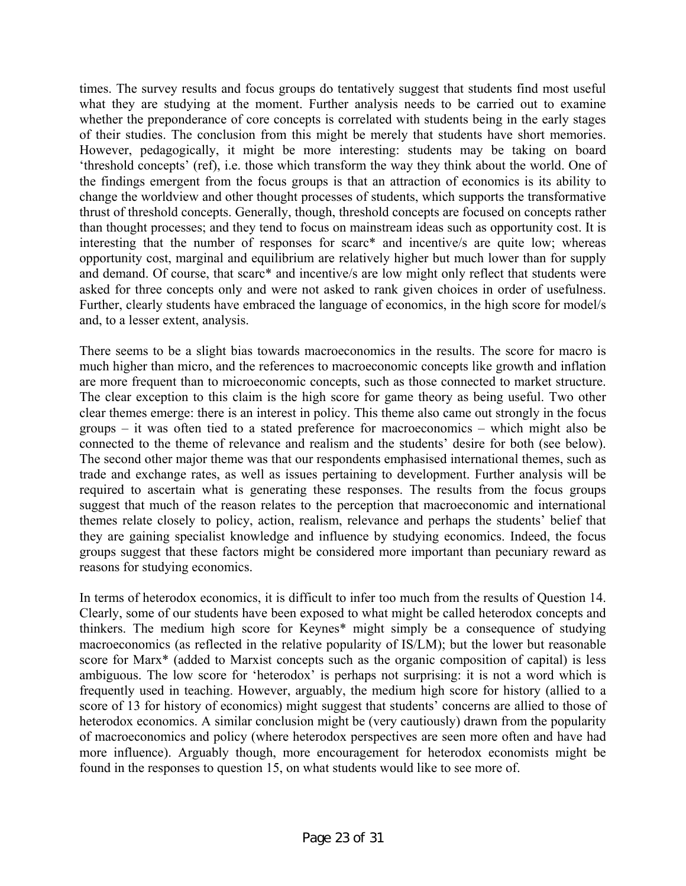times. The survey results and focus groups do tentatively suggest that students find most useful what they are studying at the moment. Further analysis needs to be carried out to examine whether the preponderance of core concepts is correlated with students being in the early stages of their studies. The conclusion from this might be merely that students have short memories. However, pedagogically, it might be more interesting: students may be taking on board 'threshold concepts' (ref), i.e. those which transform the way they think about the world. One of the findings emergent from the focus groups is that an attraction of economics is its ability to change the worldview and other thought processes of students, which supports the transformative thrust of threshold concepts. Generally, though, threshold concepts are focused on concepts rather than thought processes; and they tend to focus on mainstream ideas such as opportunity cost. It is interesting that the number of responses for scarc\* and incentive/s are quite low; whereas opportunity cost, marginal and equilibrium are relatively higher but much lower than for supply and demand. Of course, that scarc\* and incentive/s are low might only reflect that students were asked for three concepts only and were not asked to rank given choices in order of usefulness. Further, clearly students have embraced the language of economics, in the high score for model/s and, to a lesser extent, analysis.

There seems to be a slight bias towards macroeconomics in the results. The score for macro is much higher than micro, and the references to macroeconomic concepts like growth and inflation are more frequent than to microeconomic concepts, such as those connected to market structure. The clear exception to this claim is the high score for game theory as being useful. Two other clear themes emerge: there is an interest in policy. This theme also came out strongly in the focus groups – it was often tied to a stated preference for macroeconomics – which might also be connected to the theme of relevance and realism and the students' desire for both (see below). The second other major theme was that our respondents emphasised international themes, such as trade and exchange rates, as well as issues pertaining to development. Further analysis will be required to ascertain what is generating these responses. The results from the focus groups suggest that much of the reason relates to the perception that macroeconomic and international themes relate closely to policy, action, realism, relevance and perhaps the students' belief that they are gaining specialist knowledge and influence by studying economics. Indeed, the focus groups suggest that these factors might be considered more important than pecuniary reward as reasons for studying economics.

In terms of heterodox economics, it is difficult to infer too much from the results of Question 14. Clearly, some of our students have been exposed to what might be called heterodox concepts and thinkers. The medium high score for Keynes\* might simply be a consequence of studying macroeconomics (as reflected in the relative popularity of IS/LM); but the lower but reasonable score for Marx<sup>\*</sup> (added to Marxist concepts such as the organic composition of capital) is less ambiguous. The low score for 'heterodox' is perhaps not surprising: it is not a word which is frequently used in teaching. However, arguably, the medium high score for history (allied to a score of 13 for history of economics) might suggest that students' concerns are allied to those of heterodox economics. A similar conclusion might be (very cautiously) drawn from the popularity of macroeconomics and policy (where heterodox perspectives are seen more often and have had more influence). Arguably though, more encouragement for heterodox economists might be found in the responses to question 15, on what students would like to see more of.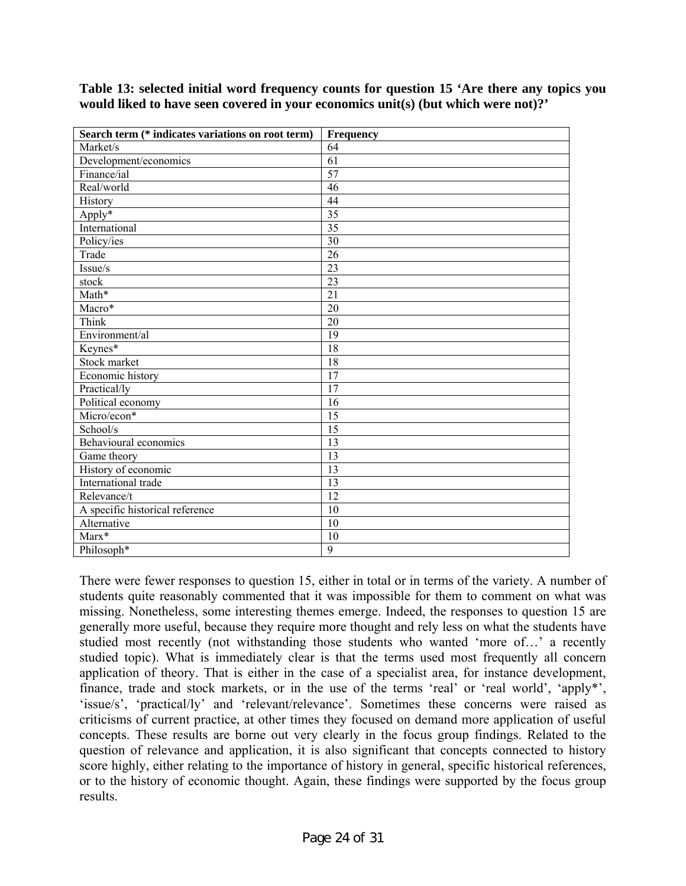**Table 13: selected initial word frequency counts for question 15 'Are there any topics you would liked to have seen covered in your economics unit(s) (but which were not)?'** 

| Search term (* indicates variations on root term) | <b>Frequency</b> |
|---------------------------------------------------|------------------|
| Market/s                                          | 64               |
| Development/economics                             | 61               |
| Finance/ial                                       | $\overline{57}$  |
| Real/world                                        | 46               |
| History                                           | 44               |
| $Apply*$                                          | $\overline{35}$  |
| International                                     | $\overline{35}$  |
| Policy/ies                                        | 30               |
| Trade                                             | 26               |
| Issue/s                                           | $\overline{23}$  |
| stock                                             | 23               |
| Math*                                             | $\overline{21}$  |
| Macro*                                            | 20               |
| Think                                             | 20               |
| Environment/al                                    | 19               |
| Keynes*                                           | $\overline{18}$  |
| Stock market                                      | 18               |
| Economic history                                  | $\overline{17}$  |
| Practical/ly                                      | 17               |
| Political economy                                 | 16               |
| Micro/econ*                                       | $\overline{15}$  |
| School/s                                          | 15               |
| Behavioural economics                             | $\overline{13}$  |
| Game theory                                       | 13               |
| History of economic                               | 13               |
| International trade                               | $\overline{13}$  |
| Relevance/t                                       | $\overline{12}$  |
| A specific historical reference                   | 10               |
| Alternative                                       | $\overline{10}$  |
| $Marx*$                                           | 10               |
| Philosoph*                                        | $\overline{9}$   |

There were fewer responses to question 15, either in total or in terms of the variety. A number of students quite reasonably commented that it was impossible for them to comment on what was missing. Nonetheless, some interesting themes emerge. Indeed, the responses to question 15 are generally more useful, because they require more thought and rely less on what the students have studied most recently (not withstanding those students who wanted 'more of…' a recently studied topic). What is immediately clear is that the terms used most frequently all concern application of theory. That is either in the case of a specialist area, for instance development, finance, trade and stock markets, or in the use of the terms 'real' or 'real world', 'apply\*', 'issue/s', 'practical/ly' and 'relevant/relevance'. Sometimes these concerns were raised as criticisms of current practice, at other times they focused on demand more application of useful concepts. These results are borne out very clearly in the focus group findings. Related to the question of relevance and application, it is also significant that concepts connected to history score highly, either relating to the importance of history in general, specific historical references, or to the history of economic thought. Again, these findings were supported by the focus group results.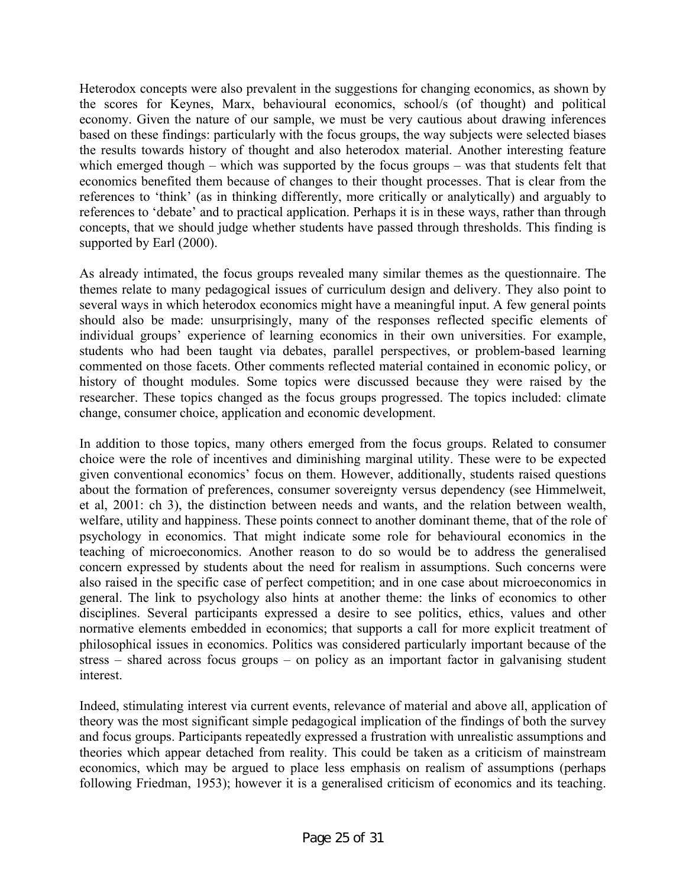Heterodox concepts were also prevalent in the suggestions for changing economics, as shown by the scores for Keynes, Marx, behavioural economics, school/s (of thought) and political economy. Given the nature of our sample, we must be very cautious about drawing inferences based on these findings: particularly with the focus groups, the way subjects were selected biases the results towards history of thought and also heterodox material. Another interesting feature which emerged though – which was supported by the focus groups – was that students felt that economics benefited them because of changes to their thought processes. That is clear from the references to 'think' (as in thinking differently, more critically or analytically) and arguably to references to 'debate' and to practical application. Perhaps it is in these ways, rather than through concepts, that we should judge whether students have passed through thresholds. This finding is supported by Earl (2000).

As already intimated, the focus groups revealed many similar themes as the questionnaire. The themes relate to many pedagogical issues of curriculum design and delivery. They also point to several ways in which heterodox economics might have a meaningful input. A few general points should also be made: unsurprisingly, many of the responses reflected specific elements of individual groups' experience of learning economics in their own universities. For example, students who had been taught via debates, parallel perspectives, or problem-based learning commented on those facets. Other comments reflected material contained in economic policy, or history of thought modules. Some topics were discussed because they were raised by the researcher. These topics changed as the focus groups progressed. The topics included: climate change, consumer choice, application and economic development.

In addition to those topics, many others emerged from the focus groups. Related to consumer choice were the role of incentives and diminishing marginal utility. These were to be expected given conventional economics' focus on them. However, additionally, students raised questions about the formation of preferences, consumer sovereignty versus dependency (see Himmelweit, et al, 2001: ch 3), the distinction between needs and wants, and the relation between wealth, welfare, utility and happiness. These points connect to another dominant theme, that of the role of psychology in economics. That might indicate some role for behavioural economics in the teaching of microeconomics. Another reason to do so would be to address the generalised concern expressed by students about the need for realism in assumptions. Such concerns were also raised in the specific case of perfect competition; and in one case about microeconomics in general. The link to psychology also hints at another theme: the links of economics to other disciplines. Several participants expressed a desire to see politics, ethics, values and other normative elements embedded in economics; that supports a call for more explicit treatment of philosophical issues in economics. Politics was considered particularly important because of the stress – shared across focus groups – on policy as an important factor in galvanising student interest.

Indeed, stimulating interest via current events, relevance of material and above all, application of theory was the most significant simple pedagogical implication of the findings of both the survey and focus groups. Participants repeatedly expressed a frustration with unrealistic assumptions and theories which appear detached from reality. This could be taken as a criticism of mainstream economics, which may be argued to place less emphasis on realism of assumptions (perhaps following Friedman, 1953); however it is a generalised criticism of economics and its teaching.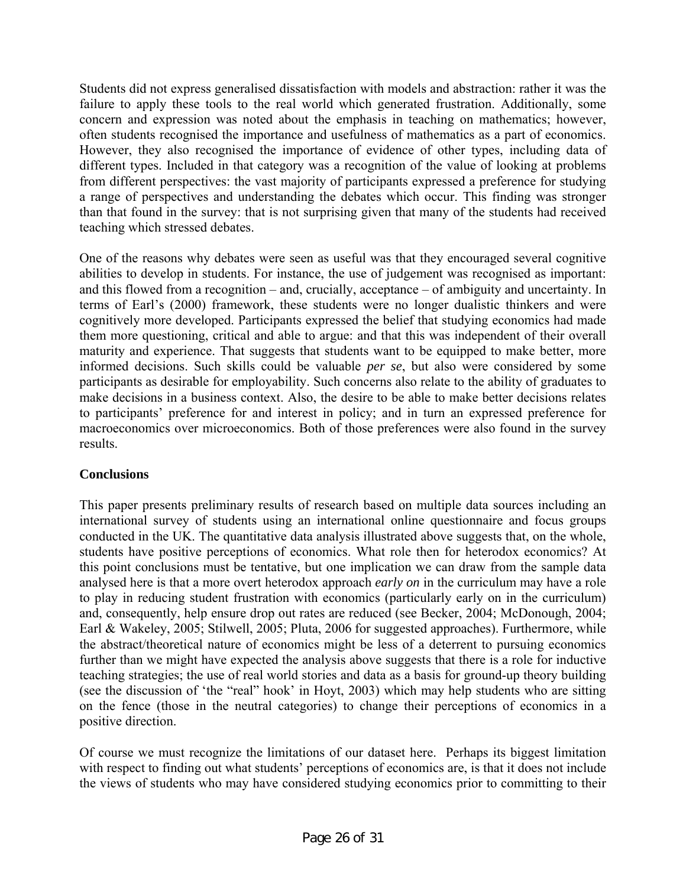Students did not express generalised dissatisfaction with models and abstraction: rather it was the failure to apply these tools to the real world which generated frustration. Additionally, some concern and expression was noted about the emphasis in teaching on mathematics; however, often students recognised the importance and usefulness of mathematics as a part of economics. However, they also recognised the importance of evidence of other types, including data of different types. Included in that category was a recognition of the value of looking at problems from different perspectives: the vast majority of participants expressed a preference for studying a range of perspectives and understanding the debates which occur. This finding was stronger than that found in the survey: that is not surprising given that many of the students had received teaching which stressed debates.

One of the reasons why debates were seen as useful was that they encouraged several cognitive abilities to develop in students. For instance, the use of judgement was recognised as important: and this flowed from a recognition – and, crucially, acceptance – of ambiguity and uncertainty. In terms of Earl's (2000) framework, these students were no longer dualistic thinkers and were cognitively more developed. Participants expressed the belief that studying economics had made them more questioning, critical and able to argue: and that this was independent of their overall maturity and experience. That suggests that students want to be equipped to make better, more informed decisions. Such skills could be valuable *per se*, but also were considered by some participants as desirable for employability. Such concerns also relate to the ability of graduates to make decisions in a business context. Also, the desire to be able to make better decisions relates to participants' preference for and interest in policy; and in turn an expressed preference for macroeconomics over microeconomics. Both of those preferences were also found in the survey results.

# **Conclusions**

This paper presents preliminary results of research based on multiple data sources including an international survey of students using an international online questionnaire and focus groups conducted in the UK. The quantitative data analysis illustrated above suggests that, on the whole, students have positive perceptions of economics. What role then for heterodox economics? At this point conclusions must be tentative, but one implication we can draw from the sample data analysed here is that a more overt heterodox approach *early on* in the curriculum may have a role to play in reducing student frustration with economics (particularly early on in the curriculum) and, consequently, help ensure drop out rates are reduced (see Becker, 2004; McDonough, 2004; Earl & Wakeley, 2005; Stilwell, 2005; Pluta, 2006 for suggested approaches). Furthermore, while the abstract/theoretical nature of economics might be less of a deterrent to pursuing economics further than we might have expected the analysis above suggests that there is a role for inductive teaching strategies; the use of real world stories and data as a basis for ground-up theory building (see the discussion of 'the "real" hook' in Hoyt, 2003) which may help students who are sitting on the fence (those in the neutral categories) to change their perceptions of economics in a positive direction.

Of course we must recognize the limitations of our dataset here. Perhaps its biggest limitation with respect to finding out what students' perceptions of economics are, is that it does not include the views of students who may have considered studying economics prior to committing to their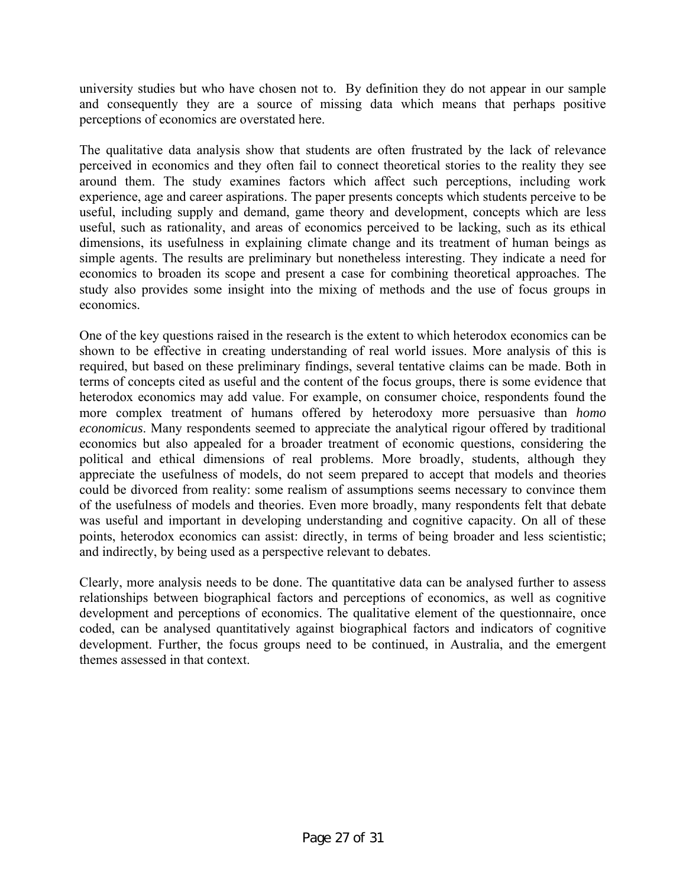university studies but who have chosen not to. By definition they do not appear in our sample and consequently they are a source of missing data which means that perhaps positive perceptions of economics are overstated here.

The qualitative data analysis show that students are often frustrated by the lack of relevance perceived in economics and they often fail to connect theoretical stories to the reality they see around them. The study examines factors which affect such perceptions, including work experience, age and career aspirations. The paper presents concepts which students perceive to be useful, including supply and demand, game theory and development, concepts which are less useful, such as rationality, and areas of economics perceived to be lacking, such as its ethical dimensions, its usefulness in explaining climate change and its treatment of human beings as simple agents. The results are preliminary but nonetheless interesting. They indicate a need for economics to broaden its scope and present a case for combining theoretical approaches. The study also provides some insight into the mixing of methods and the use of focus groups in economics.

One of the key questions raised in the research is the extent to which heterodox economics can be shown to be effective in creating understanding of real world issues. More analysis of this is required, but based on these preliminary findings, several tentative claims can be made. Both in terms of concepts cited as useful and the content of the focus groups, there is some evidence that heterodox economics may add value. For example, on consumer choice, respondents found the more complex treatment of humans offered by heterodoxy more persuasive than *homo economicus*. Many respondents seemed to appreciate the analytical rigour offered by traditional economics but also appealed for a broader treatment of economic questions, considering the political and ethical dimensions of real problems. More broadly, students, although they appreciate the usefulness of models, do not seem prepared to accept that models and theories could be divorced from reality: some realism of assumptions seems necessary to convince them of the usefulness of models and theories. Even more broadly, many respondents felt that debate was useful and important in developing understanding and cognitive capacity. On all of these points, heterodox economics can assist: directly, in terms of being broader and less scientistic; and indirectly, by being used as a perspective relevant to debates.

Clearly, more analysis needs to be done. The quantitative data can be analysed further to assess relationships between biographical factors and perceptions of economics, as well as cognitive development and perceptions of economics. The qualitative element of the questionnaire, once coded, can be analysed quantitatively against biographical factors and indicators of cognitive development. Further, the focus groups need to be continued, in Australia, and the emergent themes assessed in that context.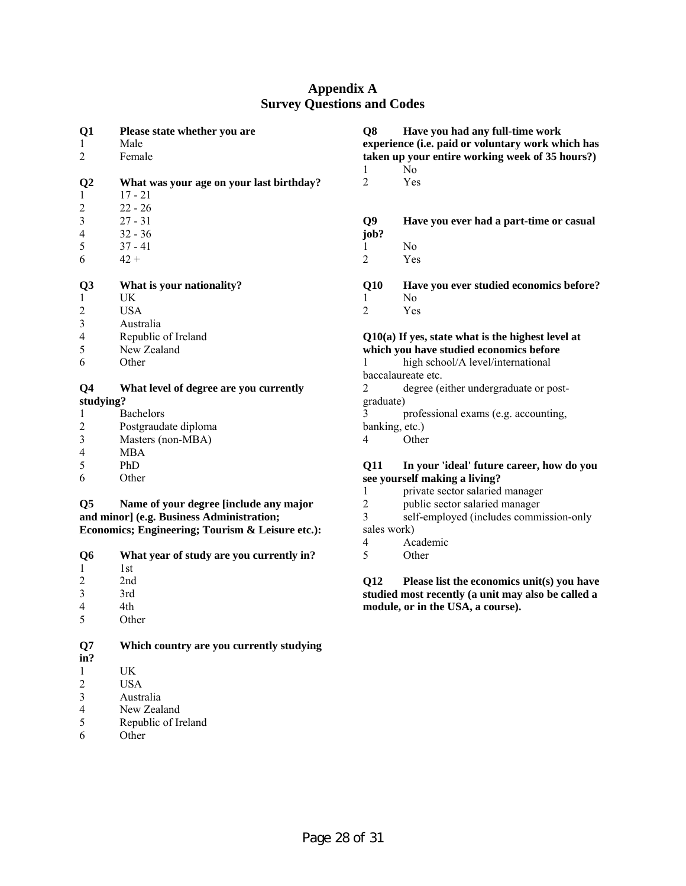# **Appendix A Survey Questions and Codes**

| Q <sub>1</sub><br>1<br>2 | Please state whether you are<br>Male<br>Female | Q8             | Have you had any full-time work<br>experience (i.e. paid or voluntary work which has<br>taken up your entire working week of 35 hours?) |
|--------------------------|------------------------------------------------|----------------|-----------------------------------------------------------------------------------------------------------------------------------------|
|                          |                                                |                | N <sub>0</sub>                                                                                                                          |
| Q2                       | What was your age on your last birthday?       | 2              | Yes                                                                                                                                     |
| $\mathbf{1}$             | $17 - 21$                                      |                |                                                                                                                                         |
| $\overline{2}$           | $22 - 26$                                      |                |                                                                                                                                         |
| $\mathfrak{Z}$           | $27 - 31$                                      | Q <sub>9</sub> | Have you ever had a part-time or casual                                                                                                 |
| $\overline{4}$           | $32 - 36$                                      | job?           |                                                                                                                                         |
| 5                        | $37 - 41$                                      |                | $\rm No$                                                                                                                                |
| 6                        | $42 +$                                         | 2              | Yes                                                                                                                                     |
|                          |                                                |                |                                                                                                                                         |
| Q <sub>3</sub>           | What is your nationality?                      | Q10            | Have you ever studied economics before?                                                                                                 |
| 1                        | UK                                             |                | N <sub>0</sub>                                                                                                                          |
| $\boldsymbol{2}$         | <b>USA</b>                                     | 2              | Yes                                                                                                                                     |
| 3                        | Australia                                      |                |                                                                                                                                         |
| 4                        | Republic of Ireland                            |                | $Q10(a)$ If yes, state what is the highest level at                                                                                     |
| 5                        | New Zealand                                    |                | which you have studied economics before                                                                                                 |
| 6                        | Other                                          |                | high school/A level/international                                                                                                       |
|                          |                                                |                | baccalaureate etc.                                                                                                                      |
| Q4                       | What level of degree are you currently         | 2              | degree (either undergraduate or post-                                                                                                   |
| studying?                |                                                | graduate)      |                                                                                                                                         |
| 1                        | <b>Bachelors</b>                               | 3              | professional exams (e.g. accounting,                                                                                                    |
| $\overline{c}$           | Postgraudate diploma                           | banking, etc.) |                                                                                                                                         |
| 3                        | Masters (non-MBA)                              | 4              | Other                                                                                                                                   |
| 4                        | <b>MBA</b>                                     |                |                                                                                                                                         |
| 5                        | PhD                                            | <b>Q11</b>     | In your 'ideal' future career, how do you                                                                                               |
| 6                        | Other                                          |                | see yourself making a living?                                                                                                           |
|                          |                                                |                | private sector salaried manager                                                                                                         |
| Q <sub>5</sub>           | Name of your degree [include any major         | 2              | public sector salaried manager                                                                                                          |
|                          | and minor] (e.g. Business Administration;      | $\overline{3}$ | self-employed (includes commission-only                                                                                                 |

sales work)<br>4 Ac 4 Academic<br>5 Other **Other** 

**Economics; Engineering; Tourism & Leisure etc.):** 

| Q6        | What year of study are you currently in? |
|-----------|------------------------------------------|
|           | 1st                                      |
| 2         | 2nd                                      |
| 3         | 3rd                                      |
| 4         | 4th                                      |
| 5         | Other                                    |
| Q7<br>in? | Which country are you currently studying |
|           | UK                                       |
| ◠         | T TCLA                                   |

- 2 USA<br>3 Austr
- 3 Australia<br>4 New Zeal
- 4 New Zealand<br>5 Republic of Ir Republic of Ireland
- 6 Other

**studied most recently (a unit may also be called a module, or in the USA, a course).** 

**Q12 Please list the economics unit(s) you have**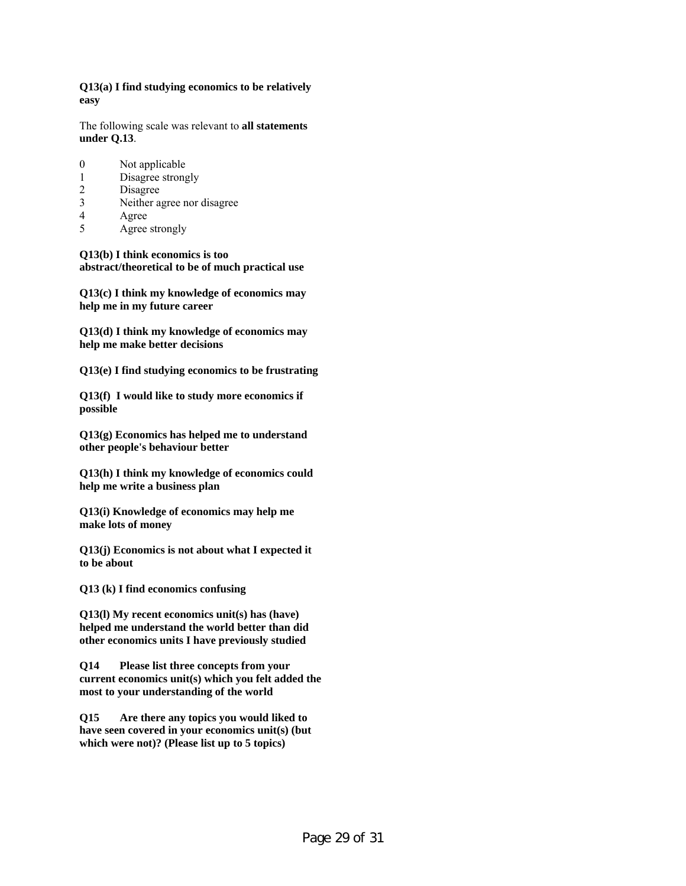**Q13(a) I find studying economics to be relatively easy** 

The following scale was relevant to **all statements under Q.13**.

- 0 Not applicable
- 1 Disagree strongly
- 2 Disagree
- 3 Neither agree nor disagree
- 4 Agree
- 5 Agree strongly

**Q13(b) I think economics is too abstract/theoretical to be of much practical use** 

**Q13(c) I think my knowledge of economics may help me in my future career** 

**Q13(d) I think my knowledge of economics may help me make better decisions** 

**Q13(e) I find studying economics to be frustrating** 

**Q13(f) I would like to study more economics if possible** 

**Q13(g) Economics has helped me to understand other people's behaviour better** 

**Q13(h) I think my knowledge of economics could help me write a business plan** 

**Q13(i) Knowledge of economics may help me make lots of money** 

**Q13(j) Economics is not about what I expected it to be about** 

**Q13 (k) I find economics confusing** 

**Q13(l) My recent economics unit(s) has (have) helped me understand the world better than did other economics units I have previously studied** 

**Q14 Please list three concepts from your current economics unit(s) which you felt added the most to your understanding of the world** 

**Q15 Are there any topics you would liked to have seen covered in your economics unit(s) (but which were not)? (Please list up to 5 topics)**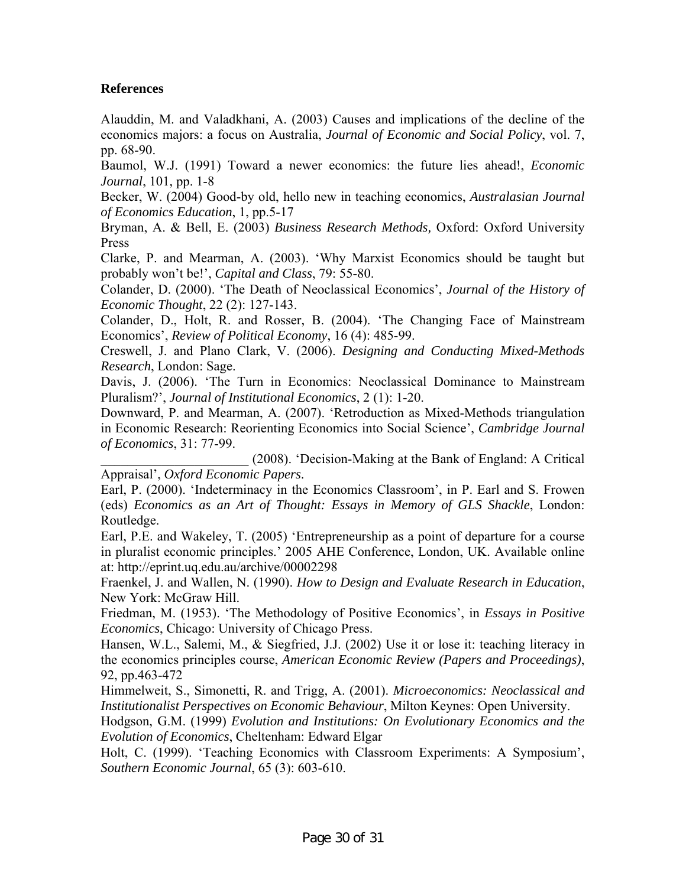# **References**

Alauddin, M. and Valadkhani, A. (2003) Causes and implications of the decline of the economics majors: a focus on Australia, *Journal of Economic and Social Policy*, vol. 7, pp. 68-90.

Baumol, W.J. (1991) Toward a newer economics: the future lies ahead!, *Economic Journal*, 101, pp. 1-8

Becker, W. (2004) Good-by old, hello new in teaching economics, *Australasian Journal of Economics Education*, 1, pp.5-17

Bryman, A. & Bell, E. (2003) *Business Research Methods,* Oxford: Oxford University Press

Clarke, P. and Mearman, A. (2003). 'Why Marxist Economics should be taught but probably won't be!', *Capital and Class*, 79: 55-80.

Colander, D. (2000). 'The Death of Neoclassical Economics', *Journal of the History of Economic Thought*, 22 (2): 127-143.

Colander, D., Holt, R. and Rosser, B. (2004). 'The Changing Face of Mainstream Economics', *Review of Political Economy*, 16 (4): 485-99.

Creswell, J. and Plano Clark, V. (2006). *Designing and Conducting Mixed-Methods Research*, London: Sage.

Davis, J. (2006). 'The Turn in Economics: Neoclassical Dominance to Mainstream Pluralism?', *Journal of Institutional Economics*, 2 (1): 1-20.

Downward, P. and Mearman, A. (2007). 'Retroduction as Mixed-Methods triangulation in Economic Research: Reorienting Economics into Social Science', *Cambridge Journal of Economics*, 31: 77-99.

\_\_\_\_\_\_\_\_\_\_\_\_\_\_\_\_\_\_\_\_\_\_ (2008). 'Decision-Making at the Bank of England: A Critical Appraisal', *Oxford Economic Papers*.

Earl, P. (2000). 'Indeterminacy in the Economics Classroom', in P. Earl and S. Frowen (eds) *Economics as an Art of Thought: Essays in Memory of GLS Shackle*, London: Routledge.

Earl, P.E. and Wakeley, T. (2005) 'Entrepreneurship as a point of departure for a course in pluralist economic principles.' 2005 AHE Conference, London, UK. Available online at: http://eprint.uq.edu.au/archive/00002298

Fraenkel, J. and Wallen, N. (1990). *How to Design and Evaluate Research in Education*, New York: McGraw Hill.

Friedman, M. (1953). 'The Methodology of Positive Economics', in *Essays in Positive Economics*, Chicago: University of Chicago Press.

Hansen, W.L., Salemi, M., & Siegfried, J.J. (2002) Use it or lose it: teaching literacy in the economics principles course, *American Economic Review (Papers and Proceedings)*, 92, pp.463-472

Himmelweit, S., Simonetti, R. and Trigg, A. (2001). *Microeconomics: Neoclassical and Institutionalist Perspectives on Economic Behaviour*, Milton Keynes: Open University.

Hodgson, G.M. (1999) *Evolution and Institutions: On Evolutionary Economics and the Evolution of Economics*, Cheltenham: Edward Elgar

Holt, C. (1999). 'Teaching Economics with Classroom Experiments: A Symposium', *Southern Economic Journal*, 65 (3): 603-610.